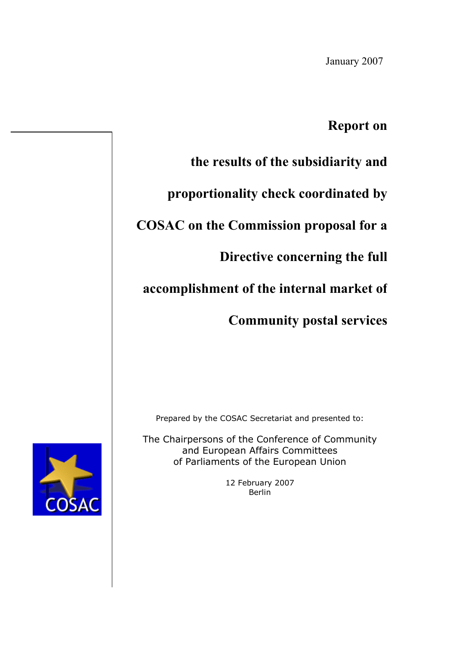January 2007

## **Report on**

# **the results of the subsidiarity and**

**proportionality check coordinated by**

## **COSAC on the Commission proposal for a**

## **Directive concerning the full**

## **accomplishment of the internal market of**

# **Community postal services**

Prepared by the COSAC Secretariat and presented to:

The Chairpersons of the Conference of Community and European Affairs Committees of Parliaments of the European Union

> 12 February 2007 Berlin

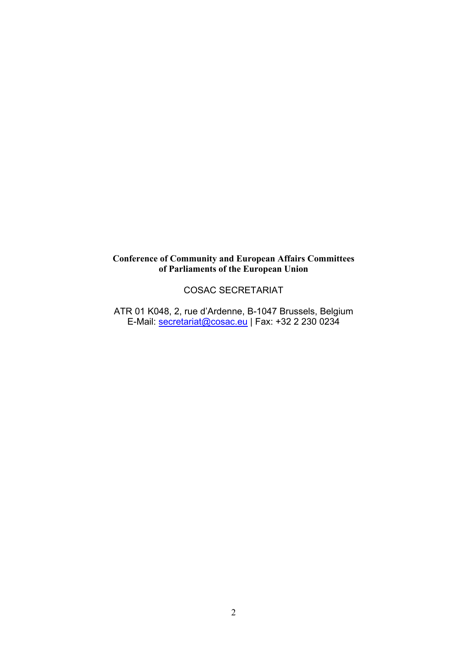### **Conference of Community and European Affairs Committees of Parliaments of the European Union**

### COSAC SECRETARIAT

ATR 01 K048, 2, rue d'Ardenne, B-1047 Brussels, Belgium E-Mail: [secretariat@cosac.eu](mailto:secretariat@cosac.eu) | Fax: +32 2 230 0234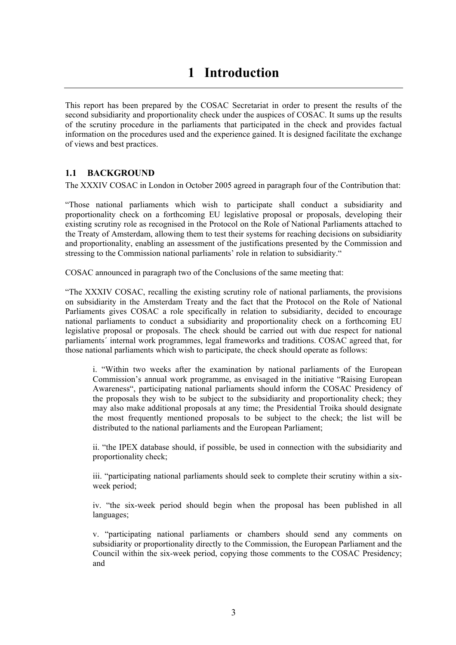## **1 Introduction**

This report has been prepared by the COSAC Secretariat in order to present the results of the second subsidiarity and proportionality check under the auspices of COSAC. It sums up the results of the scrutiny procedure in the parliaments that participated in the check and provides factual information on the procedures used and the experience gained. It is designed facilitate the exchange of views and best practices.

### **1.1 BACKGROUND**

The XXXIV COSAC in London in October 2005 agreed in paragraph four of the Contribution that:

"Those national parliaments which wish to participate shall conduct a subsidiarity and proportionality check on a forthcoming EU legislative proposal or proposals, developing their existing scrutiny role as recognised in the Protocol on the Role of National Parliaments attached to the Treaty of Amsterdam, allowing them to test their systems for reaching decisions on subsidiarity and proportionality, enabling an assessment of the justifications presented by the Commission and stressing to the Commission national parliaments' role in relation to subsidiarity."

COSAC announced in paragraph two of the Conclusions of the same meeting that:

"The XXXIV COSAC, recalling the existing scrutiny role of national parliaments, the provisions on subsidiarity in the Amsterdam Treaty and the fact that the Protocol on the Role of National Parliaments gives COSAC a role specifically in relation to subsidiarity, decided to encourage national parliaments to conduct a subsidiarity and proportionality check on a forthcoming EU legislative proposal or proposals. The check should be carried out with due respect for national parliaments´ internal work programmes, legal frameworks and traditions. COSAC agreed that, for those national parliaments which wish to participate, the check should operate as follows:

i. "Within two weeks after the examination by national parliaments of the European Commission's annual work programme, as envisaged in the initiative "Raising European Awareness", participating national parliaments should inform the COSAC Presidency of the proposals they wish to be subject to the subsidiarity and proportionality check; they may also make additional proposals at any time; the Presidential Troika should designate the most frequently mentioned proposals to be subject to the check; the list will be distributed to the national parliaments and the European Parliament;

ii. "the IPEX database should, if possible, be used in connection with the subsidiarity and proportionality check;

iii. "participating national parliaments should seek to complete their scrutiny within a sixweek period;

iv. "the six-week period should begin when the proposal has been published in all languages;

v. "participating national parliaments or chambers should send any comments on subsidiarity or proportionality directly to the Commission, the European Parliament and the Council within the six-week period, copying those comments to the COSAC Presidency; and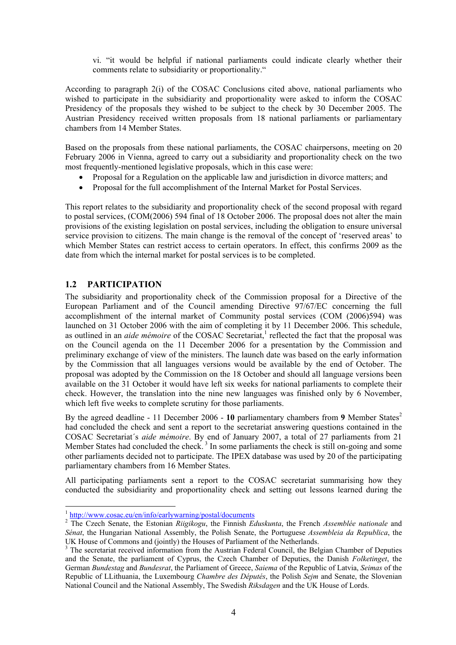vi. "it would be helpful if national parliaments could indicate clearly whether their comments relate to subsidiarity or proportionality."

According to paragraph 2(i) of the COSAC Conclusions cited above, national parliaments who wished to participate in the subsidiarity and proportionality were asked to inform the COSAC Presidency of the proposals they wished to be subject to the check by 30 December 2005. The Austrian Presidency received written proposals from 18 national parliaments or parliamentary chambers from 14 Member States.

Based on the proposals from these national parliaments, the COSAC chairpersons, meeting on 20 February 2006 in Vienna, agreed to carry out a subsidiarity and proportionality check on the two most frequently-mentioned legislative proposals, which in this case were:

- Proposal for a Regulation on the applicable law and jurisdiction in divorce matters; and
- Proposal for the full accomplishment of the Internal Market for Postal Services.

This report relates to the subsidiarity and proportionality check of the second proposal with regard to postal services, (COM(2006) 594 final of 18 October 2006. The proposal does not alter the main provisions of the existing legislation on postal services, including the obligation to ensure universal service provision to citizens. The main change is the removal of the concept of 'reserved areas' to which Member States can restrict access to certain operators. In effect, this confirms 2009 as the date from which the internal market for postal services is to be completed.

### **1.2 PARTICIPATION**

 $\overline{a}$ 

The subsidiarity and proportionality check of the Commission proposal for a Directive of the European Parliament and of the Council amending Directive 97/67/EC concerning the full accomplishment of the internal market of Community postal services (COM (2006)594) was launched on 31 October 2006 with the aim of completing it by 11 December 2006. This schedule, as outlined in an *aide mémoire* of the COSAC Secretariat,<sup>1</sup> reflected the fact that the proposal was on the Council agenda on the 11 December 2006 for a presentation by the Commission and preliminary exchange of view of the ministers. The launch date was based on the early information by the Commission that all languages versions would be available by the end of October. The proposal was adopted by the Commission on the 18 October and should all language versions been available on the 31 October it would have left six weeks for national parliaments to complete their check. However, the translation into the nine new languages was finished only by 6 November, which left five weeks to complete scrutiny for those parliaments.

By the agreed deadline - 11 December 2006 - 10 parliamentary chambers from 9 Member States<sup>2</sup> had concluded the check and sent a report to the secretariat answering questions contained in the COSAC Secretariat´s *aide mémoire*. By end of January 2007, a total of 27 parliaments from 21 Member States had concluded the check.<sup>3</sup> In some parliaments the check is still on-going and some other parliaments decided not to participate. The IPEX database was used by 20 of the participating parliamentary chambers from 16 Member States.

All participating parliaments sent a report to the COSAC secretariat summarising how they conducted the subsidiarity and proportionality check and setting out lessons learned during the

<sup>1</sup> http://www.cosac.eu/en/info/earlywarning/postal/documents

<sup>2</sup> The Czech Senate, the Estonian *Riigikogu*, the Finnish *Eduskunta*, the French *Assemblée nationale* and *Sénat*, the Hungarian National Assembly, the Polish Senate, the Portuguese *Assembleia da Republica*, the UK House of Commons and (jointly) the Houses of Parliament of the Netherlands.

<sup>&</sup>lt;sup>3</sup> The secretariat received information from the Austrian Federal Council, the Belgian Chamber of Deputies and the Senate, the parliament of Cyprus, the Czech Chamber of Deputies, the Danish *Folketinget*, the German *Bundestag* and *Bundesrat*, the Parliament of Greece, *Saiema* of the Republic of Latvia, *Seimas* of the Republic of LLithuania, the Luxembourg *Chambre des Députés*, the Polish *Sejm* and Senate, the Slovenian National Council and the National Assembly, The Swedish *Riksdagen* and the UK House of Lords.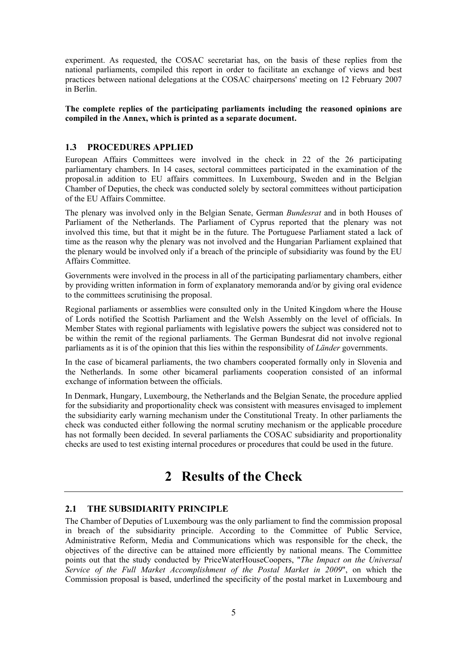experiment. As requested, the COSAC secretariat has, on the basis of these replies from the national parliaments, compiled this report in order to facilitate an exchange of views and best practices between national delegations at the COSAC chairpersons' meeting on 12 February 2007 in Berlin.

#### **The complete replies of the participating parliaments including the reasoned opinions are compiled in the Annex, which is printed as a separate document.**

#### **1.3 PROCEDURES APPLIED**

European Affairs Committees were involved in the check in 22 of the 26 participating parliamentary chambers. In 14 cases, sectoral committees participated in the examination of the proposal.in addition to EU affairs committees. In Luxembourg, Sweden and in the Belgian Chamber of Deputies, the check was conducted solely by sectoral committees without participation of the EU Affairs Committee.

The plenary was involved only in the Belgian Senate, German *Bundesrat* and in both Houses of Parliament of the Netherlands. The Parliament of Cyprus reported that the plenary was not involved this time, but that it might be in the future. The Portuguese Parliament stated a lack of time as the reason why the plenary was not involved and the Hungarian Parliament explained that the plenary would be involved only if a breach of the principle of subsidiarity was found by the EU Affairs Committee.

Governments were involved in the process in all of the participating parliamentary chambers, either by providing written information in form of explanatory memoranda and/or by giving oral evidence to the committees scrutinising the proposal.

Regional parliaments or assemblies were consulted only in the United Kingdom where the House of Lords notified the Scottish Parliament and the Welsh Assembly on the level of officials. In Member States with regional parliaments with legislative powers the subject was considered not to be within the remit of the regional parliaments. The German Bundesrat did not involve regional parliaments as it is of the opinion that this lies within the responsibility of *Länder* governments.

In the case of bicameral parliaments, the two chambers cooperated formally only in Slovenia and the Netherlands. In some other bicameral parliaments cooperation consisted of an informal exchange of information between the officials.

In Denmark, Hungary, Luxembourg, the Netherlands and the Belgian Senate, the procedure applied for the subsidiarity and proportionality check was consistent with measures envisaged to implement the subsidiarity early warning mechanism under the Constitutional Treaty. In other parliaments the check was conducted either following the normal scrutiny mechanism or the applicable procedure has not formally been decided. In several parliaments the COSAC subsidiarity and proportionality checks are used to test existing internal procedures or procedures that could be used in the future.

## **2 Results of the Check**

#### **2.1 THE SUBSIDIARITY PRINCIPLE**

The Chamber of Deputies of Luxembourg was the only parliament to find the commission proposal in breach of the subsidiarity principle. According to the Committee of Public Service, Administrative Reform, Media and Communications which was responsible for the check, the objectives of the directive can be attained more efficiently by national means. The Committee points out that the study conducted by PriceWaterHouseCoopers, "*The Impact on the Universal Service of the Full Market Accomplishment of the Postal Market in 2009*", on which the Commission proposal is based, underlined the specificity of the postal market in Luxembourg and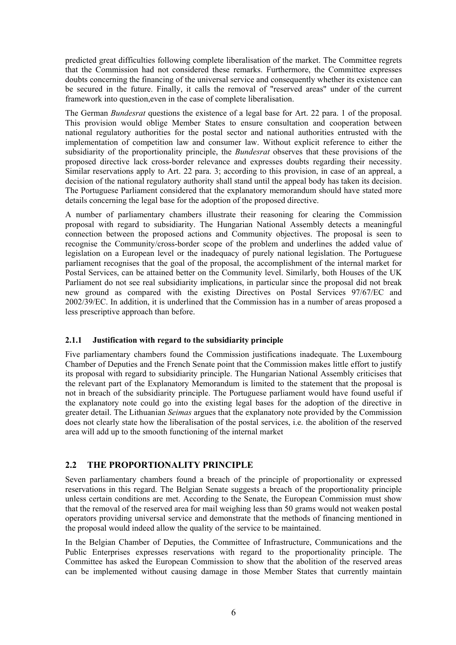predicted great difficulties following complete liberalisation of the market. The Committee regrets that the Commission had not considered these remarks. Furthermore, the Committee expresses doubts concerning the financing of the universal service and consequently whether its existence can be secured in the future. Finally, it calls the removal of "reserved areas" under of the current framework into question,even in the case of complete liberalisation.

The German *Bundesrat* questions the existence of a legal base for Art. 22 para. 1 of the proposal. This provision would oblige Member States to ensure consultation and cooperation between national regulatory authorities for the postal sector and national authorities entrusted with the implementation of competition law and consumer law. Without explicit reference to either the subsidiarity of the proportionality principle, the *Bundesrat* observes that these provisions of the proposed directive lack cross-border relevance and expresses doubts regarding their necessity. Similar reservations apply to Art. 22 para. 3; according to this provision, in case of an appreal, a decision of the national regulatory authority shall stand until the appeal body has taken its decision. The Portuguese Parliament considered that the explanatory memorandum should have stated more details concerning the legal base for the adoption of the proposed directive.

A number of parliamentary chambers illustrate their reasoning for clearing the Commission proposal with regard to subsidiarity. The Hungarian National Assembly detects a meaningful connection between the proposed actions and Community objectives. The proposal is seen to recognise the Community/cross-border scope of the problem and underlines the added value of legislation on a European level or the inadequacy of purely national legislation. The Portuguese parliament recognises that the goal of the proposal, the accomplishment of the internal market for Postal Services, can be attained better on the Community level. Similarly, both Houses of the UK Parliament do not see real subsidiarity implications, in particular since the proposal did not break new ground as compared with the existing Directives on Postal Services 97/67/EC and 2002/39/EC. In addition, it is underlined that the Commission has in a number of areas proposed a less prescriptive approach than before.

#### **2.1.1 Justification with regard to the subsidiarity principle**

Five parliamentary chambers found the Commission justifications inadequate. The Luxembourg Chamber of Deputies and the French Senate point that the Commission makes little effort to justify its proposal with regard to subsidiarity principle. The Hungarian National Assembly criticises that the relevant part of the Explanatory Memorandum is limited to the statement that the proposal is not in breach of the subsidiarity principle. The Portuguese parliament would have found useful if the explanatory note could go into the existing legal bases for the adoption of the directive in greater detail. The Lithuanian *Seimas* argues that the explanatory note provided by the Commission does not clearly state how the liberalisation of the postal services, i.e. the abolition of the reserved area will add up to the smooth functioning of the internal market

#### **2.2 THE PROPORTIONALITY PRINCIPLE**

Seven parliamentary chambers found a breach of the principle of proportionality or expressed reservations in this regard. The Belgian Senate suggests a breach of the proportionality principle unless certain conditions are met. According to the Senate, the European Commission must show that the removal of the reserved area for mail weighing less than 50 grams would not weaken postal operators providing universal service and demonstrate that the methods of financing mentioned in the proposal would indeed allow the quality of the service to be maintained.

In the Belgian Chamber of Deputies, the Committee of Infrastructure, Communications and the Public Enterprises expresses reservations with regard to the proportionality principle. The Committee has asked the European Commission to show that the abolition of the reserved areas can be implemented without causing damage in those Member States that currently maintain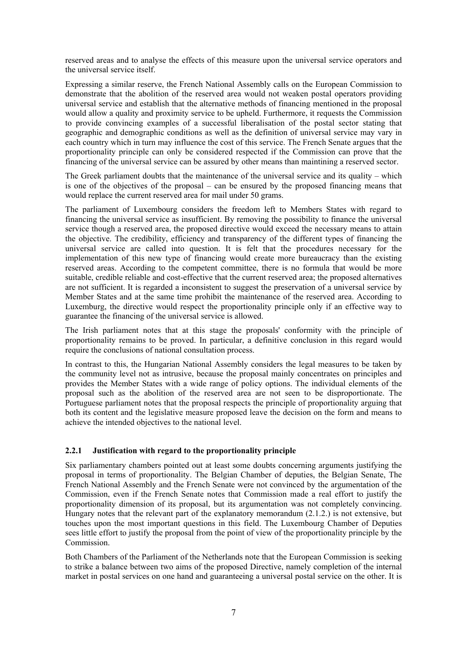reserved areas and to analyse the effects of this measure upon the universal service operators and the universal service itself.

Expressing a similar reserve, the French National Assembly calls on the European Commission to demonstrate that the abolition of the reserved area would not weaken postal operators providing universal service and establish that the alternative methods of financing mentioned in the proposal would allow a quality and proximity service to be upheld. Furthermore, it requests the Commission to provide convincing examples of a successful liberalisation of the postal sector stating that geographic and demographic conditions as well as the definition of universal service may vary in each country which in turn may influence the cost of this service. The French Senate argues that the proportionality principle can only be considered respected if the Commission can prove that the financing of the universal service can be assured by other means than maintining a reserved sector.

The Greek parliament doubts that the maintenance of the universal service and its quality – which is one of the objectives of the proposal – can be ensured by the proposed financing means that would replace the current reserved area for mail under 50 grams.

The parliament of Luxembourg considers the freedom left to Members States with regard to financing the universal service as insufficient. By removing the possibility to finance the universal service though a reserved area, the proposed directive would exceed the necessary means to attain the objective. The credibility, efficiency and transparency of the different types of financing the universal service are called into question. It is felt that the procedures necessary for the implementation of this new type of financing would create more bureaucracy than the existing reserved areas. According to the competent committee, there is no formula that would be more suitable, credible reliable and cost-effective that the current reserved area; the proposed alternatives are not sufficient. It is regarded a inconsistent to suggest the preservation of a universal service by Member States and at the same time prohibit the maintenance of the reserved area. According to Luxemburg, the directive would respect the proportionality principle only if an effective way to guarantee the financing of the universal service is allowed.

The Irish parliament notes that at this stage the proposals' conformity with the principle of proportionality remains to be proved. In particular, a definitive conclusion in this regard would require the conclusions of national consultation process.

In contrast to this, the Hungarian National Assembly considers the legal measures to be taken by the community level not as intrusive, because the proposal mainly concentrates on principles and provides the Member States with a wide range of policy options. The individual elements of the proposal such as the abolition of the reserved area are not seen to be disproportionate. The Portuguese parliament notes that the proposal respects the principle of proportionality arguing that both its content and the legislative measure proposed leave the decision on the form and means to achieve the intended objectives to the national level.

#### **2.2.1 Justification with regard to the proportionality principle**

Six parliamentary chambers pointed out at least some doubts concerning arguments justifying the proposal in terms of proportionality. The Belgian Chamber of deputies, the Belgian Senate, The French National Assembly and the French Senate were not convinced by the argumentation of the Commission, even if the French Senate notes that Commission made a real effort to justify the proportionality dimension of its proposal, but its argumentation was not completely convincing. Hungary notes that the relevant part of the explanatory memorandum (2.1.2.) is not extensive, but touches upon the most important questions in this field. The Luxembourg Chamber of Deputies sees little effort to justify the proposal from the point of view of the proportionality principle by the **Commission** 

Both Chambers of the Parliament of the Netherlands note that the European Commission is seeking to strike a balance between two aims of the proposed Directive, namely completion of the internal market in postal services on one hand and guaranteeing a universal postal service on the other. It is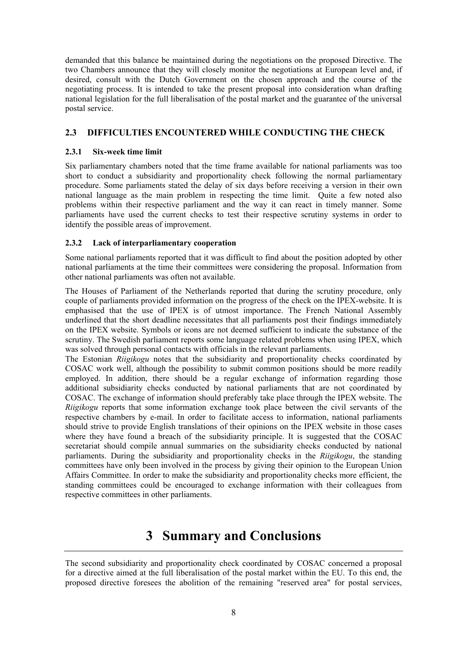demanded that this balance be maintained during the negotiations on the proposed Directive. The two Chambers announce that they will closely monitor the negotiations at European level and, if desired, consult with the Dutch Government on the chosen approach and the course of the negotiating process. It is intended to take the present proposal into consideration whan drafting national legislation for the full liberalisation of the postal market and the guarantee of the universal postal service.

### **2.3 DIFFICULTIES ENCOUNTERED WHILE CONDUCTING THE CHECK**

#### **2.3.1 Six-week time limit**

Six parliamentary chambers noted that the time frame available for national parliaments was too short to conduct a subsidiarity and proportionality check following the normal parliamentary procedure. Some parliaments stated the delay of six days before receiving a version in their own national language as the main problem in respecting the time limit. Quite a few noted also problems within their respective parliament and the way it can react in timely manner. Some parliaments have used the current checks to test their respective scrutiny systems in order to identify the possible areas of improvement.

#### **2.3.2 Lack of interparliamentary cooperation**

Some national parliaments reported that it was difficult to find about the position adopted by other national parliaments at the time their committees were considering the proposal. Information from other national parliaments was often not available.

The Houses of Parliament of the Netherlands reported that during the scrutiny procedure, only couple of parliaments provided information on the progress of the check on the IPEX-website. It is emphasised that the use of IPEX is of utmost importance. The French National Assembly underlined that the short deadline necessitates that all parliaments post their findings immediately on the IPEX website. Symbols or icons are not deemed sufficient to indicate the substance of the scrutiny. The Swedish parliament reports some language related problems when using IPEX, which was solved through personal contacts with officials in the relevant parliaments.

The Estonian *Riigikogu* notes that the subsidiarity and proportionality checks coordinated by COSAC work well, although the possibility to submit common positions should be more readily employed. In addition, there should be a regular exchange of information regarding those additional subsidiarity checks conducted by national parliaments that are not coordinated by COSAC. The exchange of information should preferably take place through the IPEX website. The *Riigikogu* reports that some information exchange took place between the civil servants of the respective chambers by e-mail. In order to facilitate access to information, national parliaments should strive to provide English translations of their opinions on the IPEX website in those cases where they have found a breach of the subsidiarity principle. It is suggested that the COSAC secretariat should compile annual summaries on the subsidiarity checks conducted by national parliaments. During the subsidiarity and proportionality checks in the *Riigikogu*, the standing committees have only been involved in the process by giving their opinion to the European Union Affairs Committee. In order to make the subsidiarity and proportionality checks more efficient, the standing committees could be encouraged to exchange information with their colleagues from respective committees in other parliaments.

## **3 Summary and Conclusions**

The second subsidiarity and proportionality check coordinated by COSAC concerned a proposal for a directive aimed at the full liberalisation of the postal market within the EU. To this end, the proposed directive foresees the abolition of the remaining "reserved area" for postal services,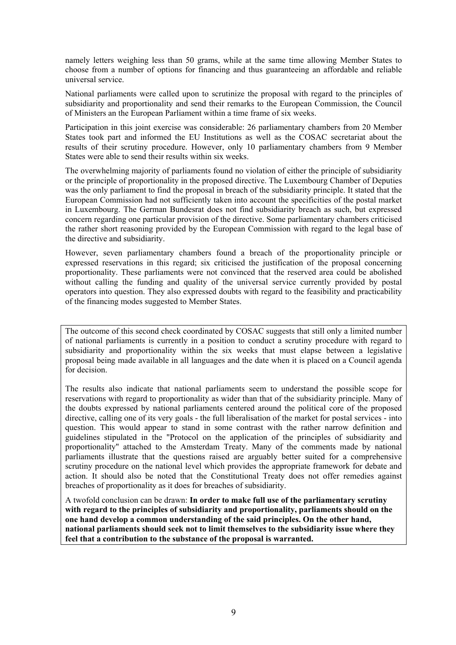namely letters weighing less than 50 grams, while at the same time allowing Member States to choose from a number of options for financing and thus guaranteeing an affordable and reliable universal service.

National parliaments were called upon to scrutinize the proposal with regard to the principles of subsidiarity and proportionality and send their remarks to the European Commission, the Council of Ministers an the European Parliament within a time frame of six weeks.

Participation in this joint exercise was considerable: 26 parliamentary chambers from 20 Member States took part and informed the EU Institutions as well as the COSAC secretariat about the results of their scrutiny procedure. However, only 10 parliamentary chambers from 9 Member States were able to send their results within six weeks.

The overwhelming majority of parliaments found no violation of either the principle of subsidiarity or the principle of proportionality in the proposed directive. The Luxembourg Chamber of Deputies was the only parliament to find the proposal in breach of the subsidiarity principle. It stated that the European Commission had not sufficiently taken into account the specificities of the postal market in Luxembourg. The German Bundesrat does not find subsidiarity breach as such, but expressed concern regarding one particular provision of the directive. Some parliamentary chambers criticised the rather short reasoning provided by the European Commission with regard to the legal base of the directive and subsidiarity.

However, seven parliamentary chambers found a breach of the proportionality principle or expressed reservations in this regard; six criticised the justification of the proposal concerning proportionality. These parliaments were not convinced that the reserved area could be abolished without calling the funding and quality of the universal service currently provided by postal operators into question. They also expressed doubts with regard to the feasibility and practicability of the financing modes suggested to Member States.

The outcome of this second check coordinated by COSAC suggests that still only a limited number of national parliaments is currently in a position to conduct a scrutiny procedure with regard to subsidiarity and proportionality within the six weeks that must elapse between a legislative proposal being made available in all languages and the date when it is placed on a Council agenda for decision.

The results also indicate that national parliaments seem to understand the possible scope for reservations with regard to proportionality as wider than that of the subsidiarity principle. Many of the doubts expressed by national parliaments centered around the political core of the proposed directive, calling one of its very goals - the full liberalisation of the market for postal services - into question. This would appear to stand in some contrast with the rather narrow definition and guidelines stipulated in the "Protocol on the application of the principles of subsidiarity and proportionality" attached to the Amsterdam Treaty. Many of the comments made by national parliaments illustrate that the questions raised are arguably better suited for a comprehensive scrutiny procedure on the national level which provides the appropriate framework for debate and action. It should also be noted that the Constitutional Treaty does not offer remedies against breaches of proportionality as it does for breaches of subsidiarity.

A twofold conclusion can be drawn: **In order to make full use of the parliamentary scrutiny with regard to the principles of subsidiarity and proportionality, parliaments should on the one hand develop a common understanding of the said principles. On the other hand, national parliaments should seek not to limit themselves to the subsidiarity issue where they feel that a contribution to the substance of the proposal is warranted.**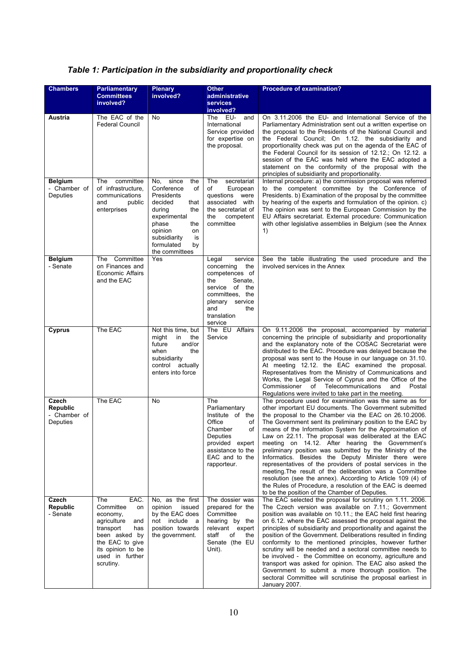|  | Table 1: Participation in the subsidiarity and proportionality check |
|--|----------------------------------------------------------------------|
|--|----------------------------------------------------------------------|

| <b>Chambers</b>                                      | <b>Parliamentary</b><br><b>Committees</b><br>involved?                                                                                                                        | <b>Plenary</b><br>involved?                                                                                                                                                                            | <b>Other</b><br>administrative<br><b>services</b>                                                                                                                            | <b>Procedure of examination?</b>                                                                                                                                                                                                                                                                                                                                                                                                                                                                                                                                                                                                                                                                                                                                                                                                             |
|------------------------------------------------------|-------------------------------------------------------------------------------------------------------------------------------------------------------------------------------|--------------------------------------------------------------------------------------------------------------------------------------------------------------------------------------------------------|------------------------------------------------------------------------------------------------------------------------------------------------------------------------------|----------------------------------------------------------------------------------------------------------------------------------------------------------------------------------------------------------------------------------------------------------------------------------------------------------------------------------------------------------------------------------------------------------------------------------------------------------------------------------------------------------------------------------------------------------------------------------------------------------------------------------------------------------------------------------------------------------------------------------------------------------------------------------------------------------------------------------------------|
|                                                      |                                                                                                                                                                               |                                                                                                                                                                                                        | involved?                                                                                                                                                                    |                                                                                                                                                                                                                                                                                                                                                                                                                                                                                                                                                                                                                                                                                                                                                                                                                                              |
| Austria                                              | The EAC of the<br><b>Federal Council</b>                                                                                                                                      | No                                                                                                                                                                                                     | The EU-<br>and<br>International<br>Service provided<br>for expertise on<br>the proposal.                                                                                     | On 3.11.2006 the EU- and International Service of the<br>Parliamentary Administration sent out a written expertise on<br>the proposal to the Presidents of the National Council and<br>the Federal Council; On 1.12. the subsidiarity and<br>proportionality check was put on the agenda of the EAC of<br>the Federal Council for its session of 12.12.; On 12.12. a<br>session of the EAC was held where the EAC adopted a<br>statement on the conformity of the proposal with the<br>principles of subsidiarity and proportionality.                                                                                                                                                                                                                                                                                                       |
| <b>Belgium</b><br>- Chamber of<br>Deputies           | committee<br>The<br>of infrastructure.<br>communications<br>and<br>public<br>enterprises                                                                                      | since<br>No.<br>the<br>Conference<br>οf<br>Presidents<br>decided<br>that<br>during<br>the<br>experimental<br>phase<br>the<br>opinion<br>on<br>subsidiarity<br>is<br>formulated<br>by<br>the committees | The<br>secretariat<br>of<br>European<br>questions were<br>associated with<br>the secretariat of<br>the<br>competent<br>committee                                             | Internal procedure: a) the commission proposal was referred<br>to the competent committee by the Conference of<br>Presidents. b) Examination of the proposal by the committee<br>by hearing of the experts and formulation of the opinion. c)<br>The opinion was sent to the European Commission by the<br>EU Affairs secretariat. External procedure: Communication<br>with other legislative assemblies in Belgium (see the Annex<br>1)                                                                                                                                                                                                                                                                                                                                                                                                    |
| <b>Belgium</b><br>- Senate                           | The Committee<br>on Finances and<br>Economic Affairs<br>and the EAC                                                                                                           | Yes                                                                                                                                                                                                    | service<br>Legal<br>concerning<br>the<br>competences of<br>Senate,<br>the<br>of the<br>service<br>committees. the<br>plenary service<br>and<br>the<br>translation<br>service | See the table illustrating the used procedure and the<br>involved services in the Annex                                                                                                                                                                                                                                                                                                                                                                                                                                                                                                                                                                                                                                                                                                                                                      |
| Cyprus                                               | The EAC                                                                                                                                                                       | Not this time, but<br>might<br>in<br>the<br>future<br>and/or<br>when<br>the<br>subsidiarity<br>control actually<br>enters into force                                                                   | The EU Affairs<br>Service                                                                                                                                                    | On 9.11.2006 the proposal, accompanied by material<br>concerning the principle of subsidiarity and proportionality<br>and the explanatory note of the COSAC Secretariat were<br>distributed to the EAC. Procedure was delayed because the<br>proposal was sent to the House in our language on 31.10.<br>At meeting 12.12. the EAC examined the proposal.<br>Representatives from the Ministry of Communications and<br>Works, the Legal Service of Cyprus and the Office of the<br>Commissioner of Telecommunications<br>and<br>Postal<br>Regulations were invited to take part in the meeting.                                                                                                                                                                                                                                             |
| Czech<br><b>Republic</b><br>- Chamber of<br>Deputies | The EAC                                                                                                                                                                       | No                                                                                                                                                                                                     | The<br>Parliamentary<br>Institute of the<br>Office<br>of<br>Chamber<br>of<br>Deputies<br>provided expert<br>assistance to the<br>EAC and to the<br>rapporteur.               | The procedure used for examination was the same as for<br>other important EU documents. The Government submitted<br>the proposal to the Chamber via the EAC on 26.10.2006.<br>The Government sent its preliminary position to the EAC by<br>means of the Information System for the Approximation of<br>Law on 22.11. The proposal was deliberated at the EAC<br>meeting on 14.12. After hearing the Government's<br>preliminary position was submitted by the Ministry of the<br>Informatics. Besides the Deputy Minister there were<br>representatives of the providers of postal services in the<br>meeting. The result of the deliberation was a Committee<br>resolution (see the annex). According to Article 109 (4) of<br>the Rules of Procedure, a resolution of the EAC is deemed<br>to be the position of the Chamber of Deputies. |
| Czech<br><b>Republic</b><br>- Senate                 | EAC.<br>The<br>Committee<br>on<br>economy,<br>agriculture<br>and<br>transport<br>has<br>been asked by<br>the EAC to give<br>its opinion to be<br>used in further<br>scrutiny. | No, as the first<br>opinion<br>issued<br>by the EAC does<br>not include a<br>position towards<br>the government.                                                                                       | The dossier was<br>prepared for the<br>Committee<br>hearing by the<br>relevant expert<br>staff<br>of<br>the<br>Senate (the EU<br>Unit).                                      | The EAC selected the proposal for scrutiny on 1.11. 2006.<br>The Czech version was available on 7.11.; Government<br>position was available on 10.11.; the EAC held first hearing<br>on 6.12, where the EAC assessed the proposal against the<br>principles of subsidiarity and proportionality and against the<br>position of the Government. Deliberations resulted in finding<br>conformity to the mentioned principles, however further<br>scrutiny will be needed and a sectoral committee needs to<br>be involved - the Committee on economy, agriculture and<br>transport was asked for opinion. The EAC also asked the<br>Government to submit a more thorough position. The<br>sectoral Committee will scrutinise the proposal earliest in<br>January 2007.                                                                         |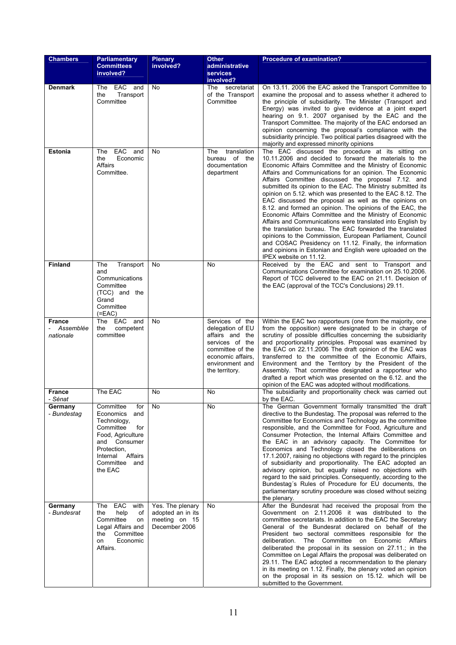| <b>Chambers</b>                         | <b>Parliamentary</b><br><b>Committees</b>                                                                                                                                      | <b>Plenary</b><br>involved?                                             | <b>Other</b><br>administrative                                                                                                                          | <b>Procedure of examination?</b>                                                                                                                                                                                                                                                                                                                                                                                                                                                                                                                                                                                                                                                                                                                                                                                                                                                                                                              |
|-----------------------------------------|--------------------------------------------------------------------------------------------------------------------------------------------------------------------------------|-------------------------------------------------------------------------|---------------------------------------------------------------------------------------------------------------------------------------------------------|-----------------------------------------------------------------------------------------------------------------------------------------------------------------------------------------------------------------------------------------------------------------------------------------------------------------------------------------------------------------------------------------------------------------------------------------------------------------------------------------------------------------------------------------------------------------------------------------------------------------------------------------------------------------------------------------------------------------------------------------------------------------------------------------------------------------------------------------------------------------------------------------------------------------------------------------------|
|                                         | involved?                                                                                                                                                                      |                                                                         | <b>services</b><br>involved?                                                                                                                            |                                                                                                                                                                                                                                                                                                                                                                                                                                                                                                                                                                                                                                                                                                                                                                                                                                                                                                                                               |
| <b>Denmark</b>                          | The EAC<br>and<br>the<br>Transport<br>Committee                                                                                                                                | No                                                                      | The secretariat<br>of the Transport<br>Committee                                                                                                        | On 13.11. 2006 the EAC asked the Transport Committee to<br>examine the proposal and to assess whether it adhered to<br>the principle of subsidiarity. The Minister (Transport and<br>Energy) was invited to give evidence at a joint expert<br>hearing on 9.1. 2007 organised by the EAC and the<br>Transport Committee. The majority of the EAC endorsed an<br>opinion concerning the proposal's compliance with the<br>subsidiarity principle. Two political parties disagreed with the<br>majority and expressed minority opinions                                                                                                                                                                                                                                                                                                                                                                                                         |
| <b>Estonia</b>                          | EAC<br>The<br>and<br>Economic<br>the<br>Affairs<br>Committee.                                                                                                                  | No                                                                      | translation<br>The<br>bureau of the<br>documentation<br>department                                                                                      | The EAC discussed the procedure at its sitting on<br>10.11.2006 and decided to forward the materials to the<br>Economic Affairs Committee and the Ministry of Economic<br>Affairs and Communications for an opinion. The Economic<br>Affairs Committee discussed the proposal 7.12. and<br>submitted its opinion to the EAC. The Ministry submitted its<br>opinion on 5.12. which was presented to the EAC 8.12. The<br>EAC discussed the proposal as well as the opinions on<br>8.12. and formed an opinion. The opinions of the EAC, the<br>Economic Affairs Committee and the Ministry of Economic<br>Affairs and Communications were translated into English by<br>the translation bureau. The EAC forwarded the translated<br>opinions to the Commission, European Parliament, Council<br>and COSAC Presidency on 11.12. Finally, the information<br>and opinions in Estonian and English were uploaded on the<br>IPEX website on 11.12. |
| <b>Finland</b>                          | The<br>Transport<br>and<br>Communications<br>Committee<br>(TCC) and the<br>Grand<br>Committee<br>$(=EAC)$                                                                      | No                                                                      | No                                                                                                                                                      | Received by the EAC and sent to Transport and<br>Communications Committee for examination on 25.10.2006.<br>Report of TCC delivered to the EAC on 21.11. Decision of<br>the EAC (approval of the TCC's Conclusions) 29.11.                                                                                                                                                                                                                                                                                                                                                                                                                                                                                                                                                                                                                                                                                                                    |
| <b>France</b><br>Assemblée<br>nationale | EAC<br>The<br>and<br>the<br>competent<br>committee                                                                                                                             | No                                                                      | Services of the<br>delegation of EU<br>affairs and the<br>services of the<br>committee of the<br>economic affairs.<br>environment and<br>the territory. | Within the EAC two rapporteurs (one from the majority, one<br>from the opposition) were designated to be in charge of<br>scrutiny of possible difficulties concerning the subsidiarity<br>and proportionality principles. Proposal was examined by<br>the EAC on 22.11.2006 The draft opinion of the EAC was<br>transferred to the committee of the Economic Affairs,<br>Environment and the Territory by the President of the<br>Assembly. That committee designated a rapporteur who<br>drafted a report which was presented on the 6.12. and the<br>opinion of the EAC was adopted without modifications.                                                                                                                                                                                                                                                                                                                                  |
| <b>France</b><br>- Sénat                | The EAC                                                                                                                                                                        | No                                                                      | No                                                                                                                                                      | The subsidiarity and proportionality check was carried out<br>by the EAC.                                                                                                                                                                                                                                                                                                                                                                                                                                                                                                                                                                                                                                                                                                                                                                                                                                                                     |
| Germany<br>- Bundestag                  | Committee<br>for<br>Economics<br>and<br>Technology,<br>Committee<br>for<br>Food, Agriculture<br>and Consumer<br>Protection,<br>Internal<br>Affairs<br>Committee and<br>the EAC | No                                                                      | No                                                                                                                                                      | The German Government formally transmitted the draft<br>directive to the Bundestag. The proposal was referred to the<br>Committee for Economics and Technology as the committee<br>responsible, and the Committee for Food, Agriculture and<br>Consumer Protection, the Internal Affairs Committee and<br>the EAC in an advisory capacity. The Committee for<br>Economics and Technology closed the deliberations on<br>17.1.2007, raising no objections with regard to the principles<br>of subsidiarity and proportionality. The EAC adopted an<br>advisory opinion, but equally raised no objections with<br>regard to the said principles. Consequently, according to the<br>Bundestag's Rules of Procedure for EU documents, the<br>parliamentary scrutiny procedure was closed without seizing<br>the plenary.                                                                                                                          |
| Germany<br>- Bundesrat                  | The EAC with<br>help<br>of<br>the<br>Committee<br>on<br>Legal Affairs and<br>Committee<br>the<br>Economic<br>on<br>Affairs.                                                    | Yes. The plenary<br>adopted an in its<br>meeting on 15<br>December 2006 | No                                                                                                                                                      | After the Bundesrat had received the proposal from the<br>Government on 2.11.2006 it was distributed to the<br>committee secretariats. In addition to the EAC the Secretary<br>General of the Bundesrat declared on behalf of the<br>President two sectoral committees responsible for the<br>deliberation. The Committee on Economic Affairs<br>deliberated the proposal in its session on 27.11.; in the<br>Committee on Legal Affairs the proposal was deliberated on<br>29.11. The EAC adopted a recommendation to the plenary<br>in its meeting on 1.12. Finally, the plenary voted an opinion<br>on the proposal in its session on 15.12. which will be<br>submitted to the Government.                                                                                                                                                                                                                                                 |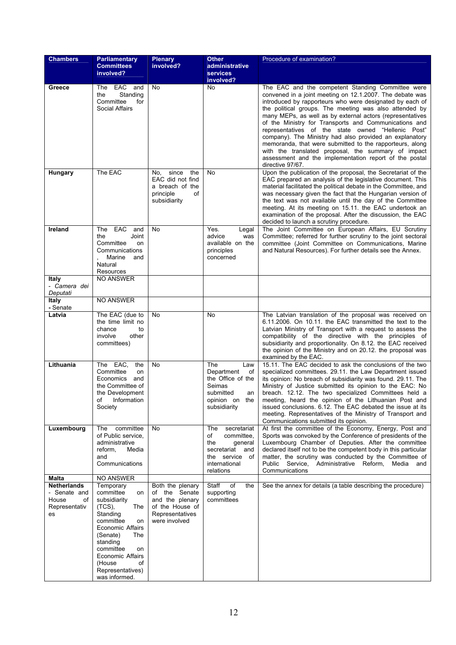| <b>Chambers</b>                                                                   | <b>Parliamentary</b>                                                                                                                                                                                                                                                             | <b>Plenary</b>                                                                                              | <b>Other</b>                                                                                                                   | Procedure of examination?                                                                                                                                                                                                                                                                                                                                                                                                                                                                                                                                                                                                                                                   |
|-----------------------------------------------------------------------------------|----------------------------------------------------------------------------------------------------------------------------------------------------------------------------------------------------------------------------------------------------------------------------------|-------------------------------------------------------------------------------------------------------------|--------------------------------------------------------------------------------------------------------------------------------|-----------------------------------------------------------------------------------------------------------------------------------------------------------------------------------------------------------------------------------------------------------------------------------------------------------------------------------------------------------------------------------------------------------------------------------------------------------------------------------------------------------------------------------------------------------------------------------------------------------------------------------------------------------------------------|
|                                                                                   | <b>Committees</b><br>involved?                                                                                                                                                                                                                                                   | involved?                                                                                                   | administrative                                                                                                                 |                                                                                                                                                                                                                                                                                                                                                                                                                                                                                                                                                                                                                                                                             |
|                                                                                   |                                                                                                                                                                                                                                                                                  |                                                                                                             | <b>services</b><br>involved?                                                                                                   |                                                                                                                                                                                                                                                                                                                                                                                                                                                                                                                                                                                                                                                                             |
| Greece                                                                            | The EAC<br>and<br>Standing<br>the<br>Committee<br>for<br><b>Social Affairs</b>                                                                                                                                                                                                   | No                                                                                                          | No                                                                                                                             | The EAC and the competent Standing Committee were<br>convened in a joint meeting on 12.1.2007. The debate was<br>introduced by rapporteurs who were designated by each of<br>the political groups. The meeting was also attended by<br>many MEPs, as well as by external actors (representatives<br>of the Ministry for Transports and Communications and<br>representatives of the state owned "Hellenic Post"<br>company). The Ministry had also provided an explanatory<br>memoranda, that were submitted to the rapporteurs, along<br>with the translated proposal, the summary of impact<br>assessment and the implementation report of the postal<br>directive 97/67. |
| Hungary                                                                           | The EAC                                                                                                                                                                                                                                                                          | the<br>since<br>No.<br>EAC did not find<br>a breach of the<br>principle<br>of<br>subsidiarity               | No                                                                                                                             | Upon the publication of the proposal, the Secretariat of the<br>EAC prepared an analysis of the legislative document. This<br>material facilitated the political debate in the Committee, and<br>was necessary given the fact that the Hungarian version of<br>the text was not available until the day of the Committee<br>meeting. At its meeting on 15.11. the EAC undertook an<br>examination of the proposal. After the discussion, the EAC<br>decided to launch a scrutiny procedure.                                                                                                                                                                                 |
| Ireland                                                                           | The EAC<br>and<br>the<br>Joint<br>Committee<br>on<br>Communications<br>Marine<br>and<br>Natural<br>Resources                                                                                                                                                                     | No                                                                                                          | Yes.<br>Legal<br>advice<br>was<br>available on the<br>principles<br>concerned                                                  | The Joint Committee on European Affairs, EU Scrutiny<br>Committee; referred for further scrutiny to the joint sectoral<br>committee (Joint Committee on Communications, Marine<br>and Natural Resources). For further details see the Annex.                                                                                                                                                                                                                                                                                                                                                                                                                                |
| <b>Italy</b><br>- Camera dei<br>Deputati                                          | <b>NO ANSWER</b>                                                                                                                                                                                                                                                                 |                                                                                                             |                                                                                                                                |                                                                                                                                                                                                                                                                                                                                                                                                                                                                                                                                                                                                                                                                             |
| Italy<br>- Senate                                                                 | <b>NO ANSWER</b>                                                                                                                                                                                                                                                                 |                                                                                                             |                                                                                                                                |                                                                                                                                                                                                                                                                                                                                                                                                                                                                                                                                                                                                                                                                             |
| Latvia                                                                            | The EAC (due to<br>the time limit no<br>chance<br>to<br>involve<br>other<br>committees)                                                                                                                                                                                          | No                                                                                                          | No                                                                                                                             | The Latvian translation of the proposal was received on<br>6.11.2006. On 10.11, the EAC transmitted the text to the<br>Latvian Ministry of Transport with a request to assess the<br>compatibility of the directive with the principles of<br>subsidiarity and proportionality. On 8.12. the EAC received<br>the opinion of the Ministry and on 20.12. the proposal was<br>examined by the EAC.                                                                                                                                                                                                                                                                             |
| Lithuania                                                                         | The EAC,<br>the<br>Committee<br>on<br>Economics<br>and<br>the Committee of<br>the Development<br>οf<br>Information<br>Society                                                                                                                                                    | No                                                                                                          | The<br>Law<br>Department<br>of<br>the Office of the<br>Seimas<br>submitted<br>an<br>opinion on the<br>subsidiarity             | 15.11. The EAC decided to ask the conclusions of the two<br>specialized committees. 29.11. the Law Department issued<br>its opinion: No breach of subsidiarity was found. 29.11. The<br>Ministry of Justice submitted its opinion to the EAC: No<br>breach. 12.12. The two specialized Committees held a<br>meeting, heard the opinion of the Lithuanian Post and<br>issued conclusions. 6.12. The EAC debated the issue at its<br>meeting. Representatives of the Ministry of Transport and<br>Communications submitted its opinion.                                                                                                                                       |
| Luxembourg                                                                        | committee<br>The<br>of Public service,<br>administrative<br>reform,<br>Media<br>and<br>Communications                                                                                                                                                                            | No                                                                                                          | The<br>secretariat<br>committee,<br>of<br>the<br>qeneral<br>secretariat<br>and<br>the service of<br>international<br>relations | At first the committee of the Economy, Energy, Post and<br>Sports was convoked by the Conference of presidents of the<br>Luxembourg Chamber of Deputies. After the committee<br>declared itself not to be the competent body in this particular<br>matter, the scrutiny was conducted by the Committee of<br>Public Service, Administrative Reform,<br>Media<br>and<br>Communications                                                                                                                                                                                                                                                                                       |
| Malta<br><b>Netherlands</b><br>- Senate and<br>House<br>οf<br>Representativ<br>es | <b>NO ANSWER</b><br>Temporary<br>committee<br>on<br>subsidiarity<br>$(TCS)$ ,<br>The<br>Standing<br>committee<br>on<br><b>Economic Affairs</b><br>(Senate)<br>The<br>standing<br>committee<br>on<br><b>Economic Affairs</b><br>οf<br>(House<br>Representatives)<br>was informed. | Both the plenary<br>of the Senate<br>and the plenary<br>of the House of<br>Representatives<br>were involved | Staff<br>of<br>the<br>supporting<br>committees                                                                                 | See the annex for details (a table describing the procedure)                                                                                                                                                                                                                                                                                                                                                                                                                                                                                                                                                                                                                |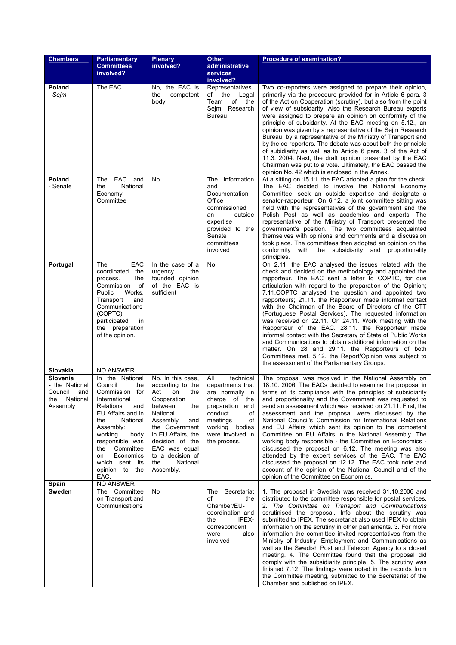| <b>Chambers</b>                                                                         | Parliamentary<br><b>Committees</b>                                                                                                                                                                                                                                                  | <b>Plenary</b><br>involved?                                                                                                                                                                                                                               | <b>Other</b><br>administrative                                                                                                                                                             | <b>Procedure of examination?</b>                                                                                                                                                                                                                                                                                                                                                                                                                                                                                                                                                                                                                                                                                                                                                                                                                                                          |
|-----------------------------------------------------------------------------------------|-------------------------------------------------------------------------------------------------------------------------------------------------------------------------------------------------------------------------------------------------------------------------------------|-----------------------------------------------------------------------------------------------------------------------------------------------------------------------------------------------------------------------------------------------------------|--------------------------------------------------------------------------------------------------------------------------------------------------------------------------------------------|-------------------------------------------------------------------------------------------------------------------------------------------------------------------------------------------------------------------------------------------------------------------------------------------------------------------------------------------------------------------------------------------------------------------------------------------------------------------------------------------------------------------------------------------------------------------------------------------------------------------------------------------------------------------------------------------------------------------------------------------------------------------------------------------------------------------------------------------------------------------------------------------|
|                                                                                         | involved?                                                                                                                                                                                                                                                                           |                                                                                                                                                                                                                                                           | services<br>involved?                                                                                                                                                                      |                                                                                                                                                                                                                                                                                                                                                                                                                                                                                                                                                                                                                                                                                                                                                                                                                                                                                           |
| Poland<br>- Sejm                                                                        | The EAC                                                                                                                                                                                                                                                                             | No, the EAC is<br>the<br>competent<br>body                                                                                                                                                                                                                | Representatives<br>of the<br>Legal<br>Team<br>of<br>the<br>Sejm Research<br><b>Bureau</b>                                                                                                  | Two co-reporters were assigned to prepare their opinion,<br>primarily via the procedure provided for in Article 6 para. 3<br>of the Act on Cooperation (scrutiny), but also from the point<br>of view of subsidarity. Also the Research Bureau experts<br>were assigned to prepare an opinion on conformity of the<br>principle of subsidarity. At the EAC meeting on 5.12., an<br>opinion was given by a representative of the Sejm Research<br>Bureau, by a representative of the Ministry of Transport and<br>by the co-reporters. The debate was about both the principle<br>of subidiarity as well as to Article 6 para. 3 of the Act of<br>11.3. 2004. Next, the draft opinion presented by the EAC<br>Chairman was put to a vote. Ultimately, the EAC passed the<br>opinion No. 42 which is enclosed in the Annex.                                                                 |
| Poland<br>- Senate                                                                      | EAC and<br>The<br>National<br>the<br>Economy<br>Committee                                                                                                                                                                                                                           | No                                                                                                                                                                                                                                                        | Information<br>The<br>and<br>Documentation<br>Office<br>commissioned<br>outside<br>an<br>expertise<br>provided to the<br>Senate<br>committees<br>involved                                  | At a sitting on 15.11. the EAC adopted a plan for the check.<br>The EAC decided to involve the National Economy<br>Committee, seek an outside expertise and designate a<br>senator-rapporteur. On 6.12. a joint committee sitting was<br>held with the representatives of the government and the<br>Polish Post as well as academics and experts. The<br>representative of the Ministry of Transport presented the<br>government's position. The two committees acquainted<br>themselves with opinions and comments and a discussion<br>took place. The committees then adopted an opinion on the<br>conformity with the subsidiarity and proportionality<br>principles.                                                                                                                                                                                                                  |
| Portugal                                                                                | EAC<br>The<br>coordinated the<br>The<br>process.<br>Commission<br>of<br>Public<br>Works,<br>Transport<br>and<br>Communications<br>(COPTC).<br>participated<br>in<br>the preparation<br>of the opinion.                                                                              | In the case of a<br>urgency<br>the<br>founded opinion<br>of the EAC is<br>sufficient                                                                                                                                                                      | No                                                                                                                                                                                         | On 2.11. the EAC analysed the issues related with the<br>check and decided on the methodology and appointed the<br>rapporteur. The EAC sent a letter to COPTC, for due<br>articulation with regard to the preparation of the Opinion;<br>7.11. COPTC analysed the question and appointed two<br>rapporteurs; 21.11. the Rapporteur made informal contact<br>with the Chairman of the Board of Directors of the CTT<br>(Portuguese Postal Services). The requested information<br>was received on 22.11. On 24.11. Work meeting with the<br>Rapporteur of the EAC. 28.11. the Rapporteur made<br>informal contact with the Secretary of State of Public Works<br>and Communications to obtain additional information on the<br>matter. On 28 and 29.11. the Rapporteurs of both<br>Committees met. 5.12. the Report/Opinion was subject to<br>the assessment of the Parliamentary Groups.  |
| Slovakia<br>Slovenia<br>- the National<br>Council<br>and<br>the<br>National<br>Assembly | NO ANSWER<br>In the National<br>Council<br>the<br>Commission for<br>International<br>Relations<br>and<br>EU Affairs and in<br>National<br>the<br>Assembly:<br>working<br>body<br>responsible was<br>Committee<br>the<br>Economics<br>on<br>which sent its<br>opinion to the<br>EAC. | No. In this case,<br>according to the<br>Act<br>on<br>the<br>Cooperation<br>between<br>the<br>National<br>Assembly<br>and<br>the Government<br>in EU Affairs, the<br>decision of the<br>EAC was equal<br>to a decision of<br>the<br>National<br>Assembly. | All<br>technical<br>departments that<br>are normally in<br>charge of<br>the<br>preparation and<br>conduct<br>οf<br>meetings<br>of<br>working<br>bodies<br>were involved in<br>the process. | The proposal was received in the National Assembly on<br>18.10. 2006. The EACs decided to examine the proposal in<br>terms of its compliance with the principles of subsidiarity<br>and proportionality and the Government was requested to<br>send an assessment which was received on 21.11. First, the<br>assessment and the proposal were discussed by the<br>National Council's Commission for International Relations<br>and EU Affairs which sent its opinion to the competent<br>Committee on EU Affairs in the National Assembly. The<br>working body responsible - the Committee on Economics -<br>discussed the proposal on 6.12. The meeting was also<br>attended by the expert services of the EAC. The EAC<br>discussed the proposal on 12.12. The EAC took note and<br>account of the opinion of the National Council and of the<br>opinion of the Committee on Economics. |
| Spain<br>Sweden                                                                         | NO ANSWER<br>The Committee<br>on Transport and<br>Communications                                                                                                                                                                                                                    | No                                                                                                                                                                                                                                                        | The<br>Secretariat<br>of<br>the<br>Chamber/EU-<br>coordination and<br>IPEX-<br>the<br>correspondent<br>were<br>also<br>involved                                                            | 1. The proposal in Swedish was received 31.10.2006 and<br>distributed to the committee responsible for postal services.<br>2. The Committee on Transport and Communications<br>scrutinised the proposal. Info about the scrutiny was<br>submitted to IPEX. The secretariat also used IPEX to obtain<br>information on the scrutiny in other parliaments. 3. For more<br>information the committee invited representatives from the<br>Ministry of Industry, Employment and Communications as<br>well as the Swedish Post and Telecom Agency to a closed<br>meeting. 4. The Committee found that the proposal did<br>comply with the subsidiarity principle. 5. The scrutiny was<br>finished 7.12. The findings were noted in the records from<br>the Committee meeting, submitted to the Secretariat of the<br>Chamber and published on IPEX.                                             |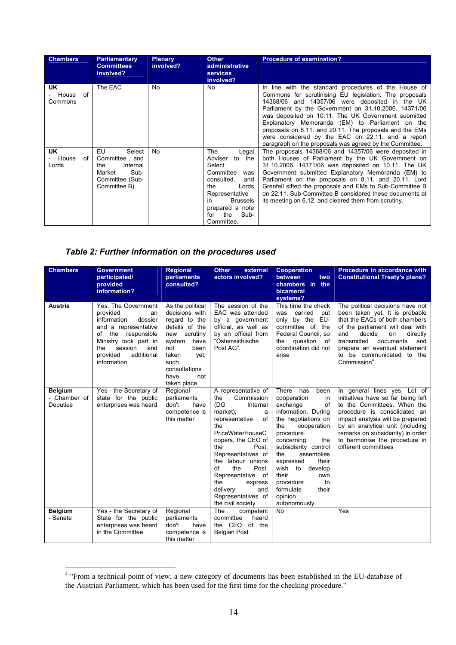| <b>Chambers</b>                   | <b>Parliamentary</b><br><b>Committees</b><br>involved?                                                    | <b>Plenary</b><br>involved? | <b>Other</b><br>administrative<br><b>services</b><br>involved?                                                                                                                                          | <b>Procedure of examination?</b>                                                                                                                                                                                                                                                                                                                                                                                                                                                                              |
|-----------------------------------|-----------------------------------------------------------------------------------------------------------|-----------------------------|---------------------------------------------------------------------------------------------------------------------------------------------------------------------------------------------------------|---------------------------------------------------------------------------------------------------------------------------------------------------------------------------------------------------------------------------------------------------------------------------------------------------------------------------------------------------------------------------------------------------------------------------------------------------------------------------------------------------------------|
| UK.<br>House of<br>Commons        | The EAC                                                                                                   | No                          | No                                                                                                                                                                                                      | In line with the standard procedures of the House of<br>Commons for scrutinising EU legislation: The proposals<br>14368/06 and 14357/06 were deposited in the UK<br>Parliament by the Government on 31.10.2006. 14371/06<br>was deposited on 10.11. The UK Government submitted<br>Explanatory Memoranda (EM) to Parliament on the<br>proposals on 8.11, and 20.11. The proposals and the EMs<br>were considered by the EAC on 22.11, and a report<br>paragraph on the proposals was agreed by the Committee. |
| <b>UK</b><br>House<br>of<br>Lords | EU<br>Select<br>Committee<br>and<br>Internal<br>the<br>Sub-<br>Market<br>Committee (Sub-<br>Committee B). | No                          | The<br>Legal<br>Adviser<br>to the<br>Select<br>Committee<br>was<br>consulted.<br>and<br>Lords<br>the<br>Representative<br><b>Brussels</b><br>in.<br>prepared a note<br>the<br>Sub-<br>for<br>Committee. | The proposals 14368/06 and 14357/06 were deposited in<br>both Houses of Parliament by the UK Government on<br>31.10.2006. 14371/06 was deposited on 10.11. The UK<br>Government submitted Explanatory Memoranda (EM) to<br>Parliament on the proposals on 8.11. and 20.11. Lord<br>Grenfell sifted the proposals and EMs to Sub-Committee B<br>on 22.11. Sub-Committee B considered these documents at<br>its meeting on 6.12, and cleared them from scrutiny.                                                |

### *Table 2: Further information on the procedures used*

| <b>Chambers</b>                            | <b>Government</b>                                                                                                                                                                                           | <b>Regional</b>                                                                                                                                                                                    | <b>Other</b><br>external                                                                                                                                                                                                                                                                                                                    | <b>Cooperation</b>                                                                                                                                                                                                                                                                                                                                 | Procedure in accordance with                                                                                                                                                                                                                                                                              |
|--------------------------------------------|-------------------------------------------------------------------------------------------------------------------------------------------------------------------------------------------------------------|----------------------------------------------------------------------------------------------------------------------------------------------------------------------------------------------------|---------------------------------------------------------------------------------------------------------------------------------------------------------------------------------------------------------------------------------------------------------------------------------------------------------------------------------------------|----------------------------------------------------------------------------------------------------------------------------------------------------------------------------------------------------------------------------------------------------------------------------------------------------------------------------------------------------|-----------------------------------------------------------------------------------------------------------------------------------------------------------------------------------------------------------------------------------------------------------------------------------------------------------|
|                                            | participated/<br>provided<br>information?                                                                                                                                                                   | parliaments<br>consulted?                                                                                                                                                                          | actors involved?                                                                                                                                                                                                                                                                                                                            | between<br>two<br>chambers in the<br>bicameral<br>systems?                                                                                                                                                                                                                                                                                         | <b>Constitutional Treaty's plans?</b>                                                                                                                                                                                                                                                                     |
| <b>Austria</b>                             | Yes. The Government<br>provided<br>an<br>information<br>dossier<br>and a representative<br>the responsible<br>of<br>Ministry took part in<br>session<br>the<br>and<br>provided<br>additional<br>information | As the political<br>decisions with<br>regard to the<br>details of the<br>new<br>scrutiny<br>system<br>have<br>not<br>been<br>taken<br>yet,<br>such<br>consultations<br>have<br>not<br>taken place. | The session of the<br>EAC was attended<br>by a government<br>official, as well as<br>by an official from<br>"Österreichische<br>Post AG".                                                                                                                                                                                                   | This time the check<br>carried<br>out<br>was<br>only by the EU-<br>committee of the<br>Federal Council, so<br>question<br>of<br>the<br>coordination did not<br>arise                                                                                                                                                                               | The political decisions have not<br>been taken yet. It is probable<br>that the EACs of both chambers<br>of the parliament will deal with<br>and<br>decide<br>directly<br>on<br>transmitted<br>documents<br>and<br>prepare an eventual statement<br>to be communicated to the<br>Commission <sup>4</sup> . |
| <b>Belgium</b><br>- Chamber of<br>Deputies | Yes - the Secretary of<br>state for the public<br>enterprises was heard                                                                                                                                     | Regional<br>parliaments<br>don't<br>have<br>competence is<br>this matter                                                                                                                           | A representative of<br>Commission<br>the<br>(DG<br>Internal<br>market),<br>a<br>of<br>representative<br>the<br>PriceWaterHouseC<br>oopers, the CEO of<br>Post.<br>the<br>Representatives of<br>the labour unions<br>of<br>Post.<br>the<br>Representative of<br>the<br>express<br>delivery<br>and<br>Representatives of<br>the civil society | There<br>has<br>been<br>in<br>cooperation<br>of<br>exchange<br>information. During<br>the negotiations on<br>the<br>cooperation<br>procedure<br>concerning<br>the<br>subsidiarity control<br>the<br>assemblies<br>their<br>expressed<br>wish<br>to<br>develop<br>their<br>own<br>procedure<br>to<br>formulate<br>their<br>opinion<br>autonomously. | In general lines yes. Lot of<br>initiatives have so far being left<br>to the Committees. When the<br>procedure is consolidated an<br>impact analysis will be prepared<br>by an analytical unit (including<br>remarks on subsidiarity) in order<br>to harmonise the procedure in<br>different committees   |
| <b>Belgium</b><br>- Senate                 | Yes - the Secretary of<br>State for the public<br>enterprises was heard<br>in the Committee                                                                                                                 | Regional<br>parliaments<br>don't<br>have<br>competence is<br>this matter                                                                                                                           | The<br>competent<br>committee<br>heard<br>the CEO of the<br><b>Belgian Post</b>                                                                                                                                                                                                                                                             | <b>No</b>                                                                                                                                                                                                                                                                                                                                          | Yes                                                                                                                                                                                                                                                                                                       |

 4 "From a technical point of view, a new category of documents has been established in the EU-database of the Austrian Parliament, which has been used for the first time for the checking procedure."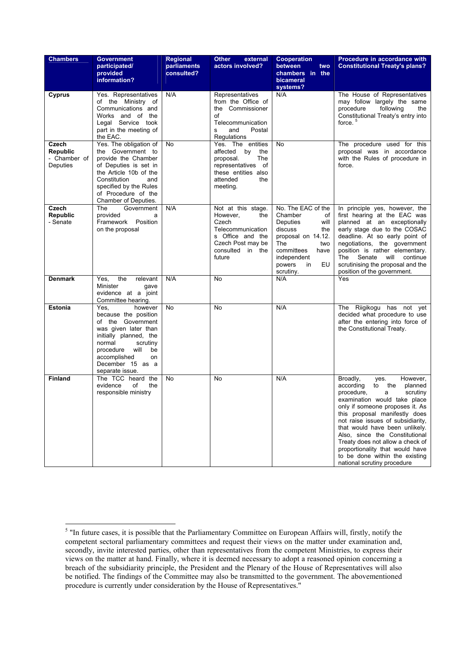| <b>Chambers</b>                                      | <b>Government</b><br>participated/<br>provided<br>information?                                                                                                                                                               | Regional<br>parliaments<br>consulted? | <b>Other</b><br>external<br>actors involved?                                                                                               | Cooperation<br>between<br>two<br>chambers in the<br>bicameral<br>systems?                                                                                                             | Procedure in accordance with<br><b>Constitutional Treaty's plans?</b>                                                                                                                                                                                                                                                                                                                                                                                 |
|------------------------------------------------------|------------------------------------------------------------------------------------------------------------------------------------------------------------------------------------------------------------------------------|---------------------------------------|--------------------------------------------------------------------------------------------------------------------------------------------|---------------------------------------------------------------------------------------------------------------------------------------------------------------------------------------|-------------------------------------------------------------------------------------------------------------------------------------------------------------------------------------------------------------------------------------------------------------------------------------------------------------------------------------------------------------------------------------------------------------------------------------------------------|
| Cyprus                                               | Yes. Representatives<br>of the Ministry of<br>Communications and<br>Works and of the<br>Legal Service took<br>part in the meeting of<br>the EAC.                                                                             | N/A                                   | Representatives<br>from the Office of<br>the Commissioner<br>of<br>Telecommunication<br>Postal<br>and<br>s<br>Regulations                  | N/A                                                                                                                                                                                   | The House of Representatives<br>may follow largely the same<br>procedure<br>following<br>the<br>Constitutional Treaty's entry into<br>force. <sup>5</sup>                                                                                                                                                                                                                                                                                             |
| Czech<br><b>Republic</b><br>- Chamber of<br>Deputies | Yes. The obligation of<br>the Government to<br>provide the Chamber<br>of Deputies is set in<br>the Article 10b of the<br>Constitution<br>and<br>specified by the Rules<br>of Procedure of the<br>Chamber of Deputies.        | No                                    | Yes. The entities<br>affected<br>by<br>the<br>The<br>proposal.<br>representatives of<br>these entities also<br>attended<br>the<br>meeting. | No                                                                                                                                                                                    | The procedure used for this<br>proposal was in accordance<br>with the Rules of procedure in<br>force.                                                                                                                                                                                                                                                                                                                                                 |
| Czech<br>Republic<br>- Senate                        | The<br>Government<br>provided<br>a<br>Framework Position<br>on the proposal                                                                                                                                                  | N/A                                   | Not at this stage.<br>However,<br>the<br>Czech<br>Telecommunication<br>s Office and the<br>Czech Post may be<br>consulted in the<br>future | No. The EAC of the<br>Chamber<br>οf<br>Deputies<br>will<br>discuss<br>the<br>proposal on 14.12.<br>The<br>two<br>committees<br>have<br>independent<br>powers<br>EU<br>in<br>scrutiny. | In principle yes, however, the<br>first hearing at the EAC was<br>planned at an exceptionally<br>early stage due to the COSAC<br>deadline. At so early point of<br>negotiations, the government<br>position is rather elementary.<br>will<br>The<br>Senate<br>continue<br>scrutinising the proposal and the<br>position of the government.                                                                                                            |
| <b>Denmark</b>                                       | the<br>relevant<br>Yes,<br>Minister<br>gave<br>evidence at a joint<br>Committee hearing.                                                                                                                                     | N/A                                   | No                                                                                                                                         | N/A                                                                                                                                                                                   | Yes                                                                                                                                                                                                                                                                                                                                                                                                                                                   |
| <b>Estonia</b>                                       | Yes.<br>however<br>because the position<br>of the Government<br>was given later than<br>initially planned, the<br>normal<br>scrutiny<br>will<br>be<br>procedure<br>accomplished<br>on<br>December 15 as a<br>separate issue. | No                                    | <b>No</b>                                                                                                                                  | N/A                                                                                                                                                                                   | The Riigikogu has not yet<br>decided what procedure to use<br>after the entering into force of<br>the Constitutional Treaty.                                                                                                                                                                                                                                                                                                                          |
| <b>Finland</b>                                       | The TCC heard the<br>evidence<br>οf<br>the<br>responsible ministry                                                                                                                                                           | No                                    | No                                                                                                                                         | N/A                                                                                                                                                                                   | However,<br>Broadly,<br>yes.<br>planned<br>according<br>to<br>the<br>procedure,<br>scrutiny<br>a<br>examination would take place<br>only if someone proposes it. As<br>this proposal manifestly does<br>not raise issues of subsidiarity,<br>that would have been unlikely.<br>Also, since the Constitutional<br>Treaty does not allow a check of<br>proportionality that would have<br>to be done within the existing<br>national scrutiny procedure |

<sup>&</sup>lt;sup>5</sup> "In future cases, it is possible that the Parliamentary Committee on European Affairs will, firstly, notify the competent sectoral parliamentary committees and request their views on the matter under examination and, secondly, invite interested parties, other than representatives from the competent Ministries, to express their views on the matter at hand. Finally, where it is deemed necessary to adopt a reasoned opinion concerning a breach of the subsidiarity principle, the President and the Plenary of the House of Representatives will also be notified. The findings of the Committee may also be transmitted to the government. The abovementioned procedure is currently under consideration by the House of Representatives."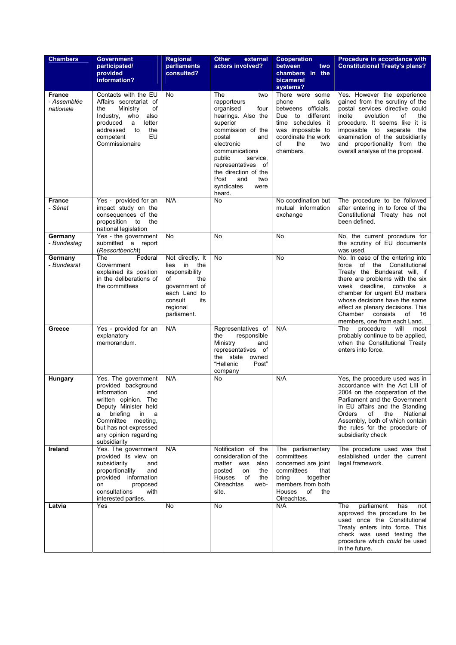| <b>Chambers</b>                           | <b>Government</b><br>participated/<br>provided<br>information?                                                                                                                                                                       | <b>Regional</b><br>parliaments<br>consulted?                                                                                                       | <b>Other</b><br>external<br>actors involved?                                                                                                                                                                                                                                     | <b>Cooperation</b><br>between<br>two<br>chambers in the<br>bicameral<br>systems?                                                                                                     | Procedure in accordance with<br><b>Constitutional Treaty's plans?</b>                                                                                                                                                                                                                                                                        |
|-------------------------------------------|--------------------------------------------------------------------------------------------------------------------------------------------------------------------------------------------------------------------------------------|----------------------------------------------------------------------------------------------------------------------------------------------------|----------------------------------------------------------------------------------------------------------------------------------------------------------------------------------------------------------------------------------------------------------------------------------|--------------------------------------------------------------------------------------------------------------------------------------------------------------------------------------|----------------------------------------------------------------------------------------------------------------------------------------------------------------------------------------------------------------------------------------------------------------------------------------------------------------------------------------------|
| <b>France</b><br>- Assemblée<br>nationale | Contacts with the EU<br>Affairs secretariat of<br>Ministry<br>of<br>the<br>who<br>Industry,<br>also<br>letter<br>produced<br>a<br>addressed<br>to<br>the<br>EU<br>competent<br>Commissionaire                                        | No                                                                                                                                                 | The<br>two<br>rapporteurs<br>organised<br>four<br>hearings. Also the<br>superior<br>commission of the<br>and<br>postal<br>electronic<br>communications<br>public<br>service.<br>representatives of<br>the direction of the<br>Post<br>and<br>two<br>syndicates<br>were<br>heard. | There were some<br>phone<br>calls<br>betweens officials.<br>different<br>Due<br>to<br>time schedules it<br>was impossible to<br>coordinate the work<br>of<br>the<br>two<br>chambers. | Yes. However the experience<br>gained from the scrutiny of the<br>postal services directive could<br>incite<br>evolution<br>of<br>the<br>procedure. It seems like it is<br>impossible to separate the<br>examination of the subsidiarity<br>and proportionality from the<br>overall analyse of the proposal.                                 |
| <b>France</b><br>- Sénat                  | Yes - provided for an<br>N/A<br>impact study on the<br>consequences of the<br>proposition to<br>the<br>national legislation                                                                                                          |                                                                                                                                                    | No                                                                                                                                                                                                                                                                               | No coordination but<br>mutual information<br>exchange                                                                                                                                | The procedure to be followed<br>after entering in to force of the<br>Constitutional Treaty has not<br>been defined.                                                                                                                                                                                                                          |
| Germany<br>- Bundestag                    | Yes - the government<br>submitted a report<br>(Ressortbericht)                                                                                                                                                                       | No                                                                                                                                                 | No                                                                                                                                                                                                                                                                               | No                                                                                                                                                                                   | No, the current procedure for<br>the scrutiny of EU documents<br>was used.                                                                                                                                                                                                                                                                   |
| Germany<br>- Bundesrat                    | The<br>Federal<br>Government<br>explained its position<br>in the deliberations of<br>the committees                                                                                                                                  | Not directly. It<br>in<br>the<br>lies<br>responsibility<br>of<br>the<br>government of<br>each Land to<br>its<br>consult<br>regional<br>parliament. | No                                                                                                                                                                                                                                                                               | No                                                                                                                                                                                   | No. In case of the entering into<br>of the Constitutional<br>force<br>Treaty the Bundesrat will, if<br>there are problems with the six<br>week deadline, convoke a<br>chamber for urgent EU matters<br>whose decisions have the same<br>effect as plenary decisions. This<br>Chamber<br>consists<br>of<br>16<br>members, one from each Land. |
| Greece                                    | Yes - provided for an<br>explanatory<br>memorandum.                                                                                                                                                                                  | N/A                                                                                                                                                | Representatives of<br>responsible<br>the<br>Ministry<br>and<br>representatives of<br>the state owned<br>"Hellenic<br>Post"<br>company                                                                                                                                            | N/A                                                                                                                                                                                  | The<br>procedure<br>will<br>most<br>probably continue to be applied,<br>when the Constitutional Treaty<br>enters into force.                                                                                                                                                                                                                 |
| Hungary                                   | Yes. The government<br>provided background<br>information<br>and<br>written opinion. The<br>Deputy Minister held<br>briefing<br>in<br>a<br>a<br>Committee meeting,<br>but has not expressed<br>any opinion regarding<br>subsidiarity | N/A                                                                                                                                                | No                                                                                                                                                                                                                                                                               | N/A                                                                                                                                                                                  | Yes, the procedure used was in<br>accordance with the Act LIII of<br>2004 on the cooperation of the<br>Parliament and the Government<br>in EU affairs and the Standing<br>of<br>National<br>Orders<br>the<br>Assembly, both of which contain<br>the rules for the procedure of<br>subsidiarity check                                         |
| Ireland                                   | Yes. The government<br>provided its view on<br>subsidiarity<br>and<br>proportionality<br>and<br>provided information<br>proposed<br>on<br>consultations<br>with<br>interested parties.                                               | N/A                                                                                                                                                | Notification of the<br>consideration of the<br>matter was<br>also<br>posted<br>the<br>on<br>Houses<br>of<br>the<br>Oireachtas<br>web-<br>site.                                                                                                                                   | The parliamentary<br>committees<br>concerned are joint<br>committees<br>that<br>brina<br>together<br>members from both<br><b>Houses</b><br>of<br>the<br>Oireachtas.                  | The procedure used was that<br>established under the current<br>legal framework.                                                                                                                                                                                                                                                             |
| Latvia                                    | Yes                                                                                                                                                                                                                                  | No                                                                                                                                                 | No                                                                                                                                                                                                                                                                               | N/A                                                                                                                                                                                  | The<br>parliament<br>has<br>not<br>approved the procedure to be<br>used once the Constitutional<br>Treaty enters into force. This<br>check was used testing the<br>procedure which could be used<br>in the future.                                                                                                                           |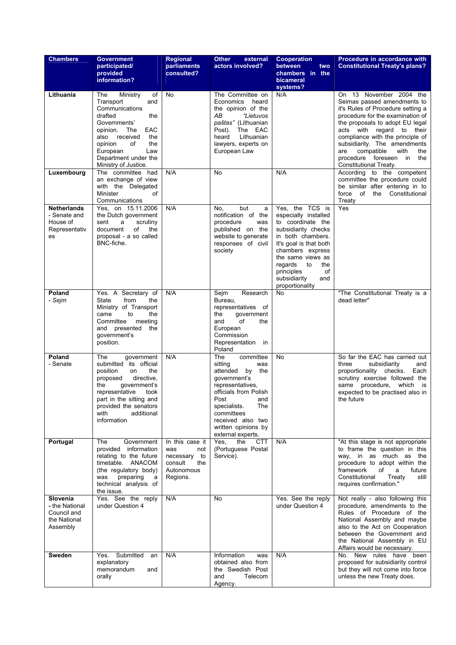| <b>Chambers</b>                                                              | <b>Government</b><br>participated/<br>provided<br>information?                                                                                                                                                                                | <b>Regional</b><br>parliaments<br>consulted?                                              | <b>Other</b><br>external<br>actors involved?                                                                                                                                                                                            | <b>Cooperation</b><br>between<br>two<br>chambers in the<br>bicameral<br>systems?                                                                                                                                                                                  | Procedure in accordance with<br><b>Constitutional Treaty's plans?</b>                                                                                                                                                                                                                                                                                             |
|------------------------------------------------------------------------------|-----------------------------------------------------------------------------------------------------------------------------------------------------------------------------------------------------------------------------------------------|-------------------------------------------------------------------------------------------|-----------------------------------------------------------------------------------------------------------------------------------------------------------------------------------------------------------------------------------------|-------------------------------------------------------------------------------------------------------------------------------------------------------------------------------------------------------------------------------------------------------------------|-------------------------------------------------------------------------------------------------------------------------------------------------------------------------------------------------------------------------------------------------------------------------------------------------------------------------------------------------------------------|
| Lithuania                                                                    | The<br>Ministry<br>οf<br>Transport<br>and<br>Communications<br>drafted<br>the<br>Governments'<br>EAC<br>opinion.<br>The<br>the<br>also<br>received<br>opinion<br>of<br>the<br>Law<br>European<br>Department under the<br>Ministry of Justice. | <b>No</b>                                                                                 | The Committee on<br>Economics<br>heard<br>the opinion of the<br>АB<br>"Lietuvos<br>paštas" (Lithuanian<br>The EAC<br>Post).<br>Lithuanian<br>heard<br>lawyers, experts on<br>European Law                                               | N/A                                                                                                                                                                                                                                                               | On 13 November 2004 the<br>Seimas passed amendments to<br>it's Rules of Procedure setting a<br>procedure for the examination of<br>the proposals to adopt EU legal<br>acts with regard to their<br>compliance with the principle of<br>subsidiarity. The amendments<br>compatible<br>with<br>the<br>are<br>procedure foreseen in<br>the<br>Constitutional Treaty. |
| Luxembourg                                                                   | The committee had<br>an exchange of view<br>with the Delegated<br>Minister<br>of<br>Communications                                                                                                                                            | N/A                                                                                       | No                                                                                                                                                                                                                                      | N/A                                                                                                                                                                                                                                                               | According to the competent<br>committee the procedure could<br>be similar after entering in to<br>force of the Constitutional<br>Treaty                                                                                                                                                                                                                           |
| <b>Netherlands</b><br>- Senate and<br>House of<br>Representativ<br>es        | Yes, on 15.11.2006<br>the Dutch government<br>sent<br>a<br>scrutiny<br>of<br>document<br>the<br>proposal - a so called<br>BNC-fiche.                                                                                                          | N/A                                                                                       | but<br>No.<br>a<br>notification of the<br>procedure<br>was<br>published on the<br>website to generate<br>responses of civil<br>society                                                                                                  | Yes, the TCS is<br>especially installed<br>to coordinate the<br>subsidiarity checks<br>in both chambers.<br>It's goal is that both<br>chambers express<br>the same views as<br>regards<br>to<br>the<br>of<br>principles<br>subsidiarity<br>and<br>proportionality | Yes                                                                                                                                                                                                                                                                                                                                                               |
| Poland<br>- Sejm                                                             | Yes. A Secretary of<br><b>State</b><br>from<br>the<br>Ministry of Transport<br>to<br>came<br>the<br>Committee<br>meeting<br>and presented<br>the<br>government's<br>position.                                                                 | N/A                                                                                       | Research<br>Sejm<br>Bureau,<br>representatives of<br>the<br>government<br>and<br>of<br>the<br>European<br>Commission<br>Representation in<br>Poland                                                                                     | <b>No</b>                                                                                                                                                                                                                                                         | "The Constitutional Treaty is a<br>dead letter"                                                                                                                                                                                                                                                                                                                   |
| Poland<br>- Senate                                                           | The<br>government<br>submitted its official<br>position<br>the<br>on<br>directive,<br>proposed<br>government's<br>the<br>representative<br>took<br>part in the sitting and<br>provided the senators<br>with<br>additional<br>information      | N/A                                                                                       | The<br>committee<br>sitting<br>was<br>attended by the<br>government's<br>representatives,<br>officials from Polish<br>Post<br>and<br>The<br>specialists.<br>committees<br>received also two<br>written opinions by<br>external experts. | No                                                                                                                                                                                                                                                                | So far the EAC has carried out<br>subsidiarity<br>three<br>and<br>proportionality checks.<br>Each<br>scrutiny exercise followed the<br>same<br>procedure,<br>which<br>is<br>expected to be practised also in<br>the future                                                                                                                                        |
| Portugal                                                                     | The<br>Government<br>provided information<br>relating to the future<br>timetable. ANACOM<br>(the regulatory body)<br>preparing<br>was<br>a<br>technical analysis of<br>the issue.                                                             | In this case it<br>was<br>not<br>necessary to<br>consult<br>the<br>Autonomous<br>Regions. | Yes,<br>the<br>CTT<br>(Portuguese Postal<br>Service).                                                                                                                                                                                   | N/A                                                                                                                                                                                                                                                               | "At this stage is not appropriate<br>to frame the question in this<br>way, in as much as the<br>procedure to adopt within the<br>framework<br>of<br>a<br>future<br>Constitutional<br>Treaty<br>still<br>requires confirmation."                                                                                                                                   |
| <b>Slovenia</b><br>- the National<br>Council and<br>the National<br>Assembly | Yes. See the reply<br>under Question 4                                                                                                                                                                                                        | N/A                                                                                       | No                                                                                                                                                                                                                                      | Yes. See the reply<br>under Question 4                                                                                                                                                                                                                            | Not really - also following this<br>procedure, amendments to the<br>Rules of Procedure of the<br>National Assembly and maybe<br>also to the Act on Cooperation<br>between the Government and<br>the National Assembly in EU<br>Affairs would be necessary.                                                                                                        |
| Sweden                                                                       | Submitted<br>Yes.<br>an<br>explanatory<br>memorandum<br>and<br>orally                                                                                                                                                                         | N/A                                                                                       | Information<br>was<br>obtained also from<br>the Swedish Post<br>and<br>Telecom<br>Agency.                                                                                                                                               | N/A                                                                                                                                                                                                                                                               | No. New rules have been<br>proposed for subsidiarity control<br>but they will not come into force<br>unless the new Treaty does.                                                                                                                                                                                                                                  |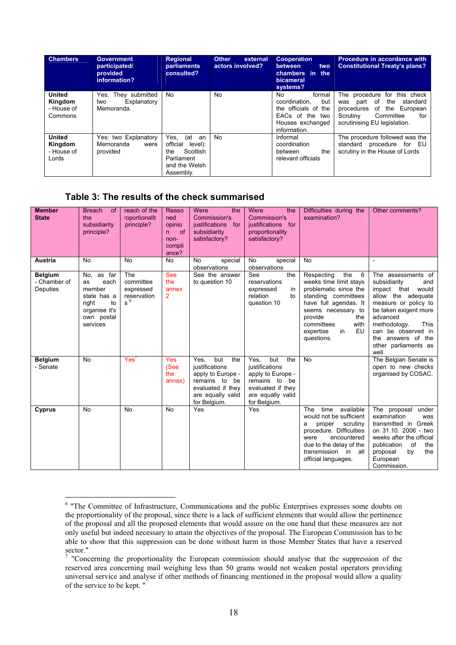| <b>Chambers</b>                                   | <b>Government</b><br>participated/<br>provided<br>information? | <b>Regional</b><br>parliaments<br>consulted?                                                            | <b>Other</b><br>external<br>actors involved? | <b>Cooperation</b><br>between<br>two<br>chambers in the<br>bicameral<br>systems?                                     | Procedure in accordance with<br><b>Constitutional Treaty's plans?</b>                                                                                              |
|---------------------------------------------------|----------------------------------------------------------------|---------------------------------------------------------------------------------------------------------|----------------------------------------------|----------------------------------------------------------------------------------------------------------------------|--------------------------------------------------------------------------------------------------------------------------------------------------------------------|
| <b>United</b><br>Kingdom<br>- House of<br>Commons | They submitted<br>Yes.<br>Explanatory<br>two<br>Memoranda.     | No.                                                                                                     | <b>No</b>                                    | No.<br>formal<br>coordination.<br>but<br>the officials of the<br>EACs of the two<br>Houses exchanged<br>information. | The procedure for this check<br>part of<br>the<br>standard<br>was<br>procedures of the<br>European<br>Committee<br>Scrutiny<br>for<br>scrutinising EU legislation. |
| United<br>Kingdom<br>- House of<br>Lords          | Yes: two Explanatory<br>Memoranda<br>were<br>provided          | Yes.<br>(at<br>an<br>official<br>level):<br>Scottish<br>the<br>Parliament<br>and the Welsh<br>Assembly. | No.                                          | Informal<br>coordination<br>the<br>between<br>relevant officials                                                     | The procedure followed was the<br>standard procedure for EU<br>scrutiny in the House of Lords                                                                      |

### **Table 3: The results of the check summarised**

 $\overline{a}$ 

| <b>Member</b><br><b>State</b>              | <b>Breach</b><br><b>of</b><br>the<br>subsidiarity<br>principle?                                             | reach of the<br>roportionalit<br>principle?           | Reaso<br>ned<br>opinio<br>of<br>n.<br>non-<br>compli<br>ance? | the<br>Were<br>Commission's<br>justifications for<br>subsidiarity<br>satisfactory?                                                   | Were<br>the<br>Commission's<br>justifications for<br>proportionality<br>satisfactory?                                                   | Difficulties during the<br>examination?                                                                                                                                                                                        | Other comments?                                                                                                                                                                                                                                                 |
|--------------------------------------------|-------------------------------------------------------------------------------------------------------------|-------------------------------------------------------|---------------------------------------------------------------|--------------------------------------------------------------------------------------------------------------------------------------|-----------------------------------------------------------------------------------------------------------------------------------------|--------------------------------------------------------------------------------------------------------------------------------------------------------------------------------------------------------------------------------|-----------------------------------------------------------------------------------------------------------------------------------------------------------------------------------------------------------------------------------------------------------------|
| <b>Austria</b>                             | No                                                                                                          | <b>No</b>                                             | <b>No</b>                                                     | special<br>No<br>observations                                                                                                        | <b>No</b><br>special<br>observations                                                                                                    | No                                                                                                                                                                                                                             |                                                                                                                                                                                                                                                                 |
| <b>Belgium</b><br>- Chamber of<br>Deputies | No, as far<br>each<br>as<br>member<br>state has a<br>right<br>to<br>organise it's<br>own postal<br>services | The<br>committee<br>expressed<br>reservation<br>$s^6$ | <b>See</b><br>the<br>annex<br>$\overline{2}$                  | See the answer<br>to question 10                                                                                                     | See<br>the<br>reservations<br>expressed<br>in<br>relation<br>to<br>question 10                                                          | the<br>Respecting<br>6<br>weeks time limit stays<br>problematic since the<br>standing committees<br>have full agendas. It<br>seems necessary to<br>provide<br>the<br>committees<br>with<br>EU<br>expertise<br>in<br>questions. | The assessments of<br>subsidiarity<br>and<br>impact that<br>would<br>allow the adequate<br>measure or policy to<br>be taken exigent more<br>advanced<br><b>This</b><br>methodology.<br>can be observed in<br>the answers of the<br>other parliaments as<br>well |
| <b>Belgium</b><br>- Senate                 | <b>No</b>                                                                                                   | Yes'                                                  | <b>Yes</b><br>(See<br>the<br>annex)                           | but<br>the<br>Yes.<br>justifications<br>apply to Europe -<br>remains to be<br>evaluated if they<br>are equally valid<br>for Belgium. | but<br>Yes.<br>the<br>justifications<br>apply to Europe -<br>remains to<br>be<br>evaluated if they<br>are equally valid<br>for Belgium. | <b>No</b>                                                                                                                                                                                                                      | The Belgian Senate is<br>open to new checks<br>organised by COSAC.                                                                                                                                                                                              |
| Cyprus                                     | <b>No</b>                                                                                                   | <b>No</b>                                             | <b>No</b>                                                     | Yes                                                                                                                                  | Yes                                                                                                                                     | time<br>available<br><b>The</b><br>would not be sufficient<br>proper<br>scrutiny<br>a<br>procedure. Difficulties<br>encountered<br>were<br>due to the delay of the<br>transmission in all<br>official languages.               | The proposal<br>under<br>examination<br>was<br>transmitted in Greek<br>on 31.10. 2006 - two<br>weeks after the official<br>of<br>publication<br>the<br>by<br>the<br>proposal<br>European<br>Commission.                                                         |

<sup>&</sup>lt;sup>6</sup> "The Committee of Infrastructure, Communications and the public Enterprises expresses some doubts on the proportionality of the proposal, since there is a lack of sufficient elements that would allow the pertinence of the proposal and all the proposed elements that would assure on the one hand that these measures are not only useful but indeed necessary to attain the objectives of the proposal. The European Commission has to be able to show that this suppression can be done without harm in those Member States that have a reserved sector."

<sup>&</sup>lt;sup>7</sup> "Concerning the proportionality the European commission should analyse that the suppression of the reserved area concerning mail weighing less than 50 grams would not weaken postal operators providing universal service and analyse if other methods of financing mentioned in the proposal would allow a quality of the service to be kept. "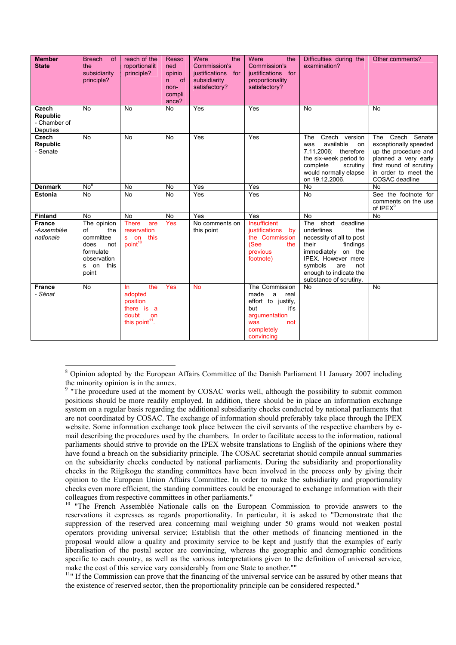| <b>Member</b><br><b>State</b>                        | <b>Breach</b><br><b>of</b><br>the<br>subsidiarity<br>principle?                                           | reach of the<br>roportionalit<br>principle?                                                    | Reaso<br>ned<br>opinio<br>of<br>n.<br>non-<br>compli<br>ance? | Were<br>the<br>Commission's<br>justifications for<br>subsidiarity<br>satisfactory? | Were<br>the<br>Commission's<br>justifications for<br>proportionality<br>satisfactory?                                               | Difficulties during the<br>examination?                                                                                                                                                                              | Other comments?                                                                                                                                                   |
|------------------------------------------------------|-----------------------------------------------------------------------------------------------------------|------------------------------------------------------------------------------------------------|---------------------------------------------------------------|------------------------------------------------------------------------------------|-------------------------------------------------------------------------------------------------------------------------------------|----------------------------------------------------------------------------------------------------------------------------------------------------------------------------------------------------------------------|-------------------------------------------------------------------------------------------------------------------------------------------------------------------|
| Czech<br><b>Republic</b><br>- Chamber of<br>Deputies | <b>No</b>                                                                                                 | <b>No</b>                                                                                      | <b>No</b>                                                     | Yes                                                                                | Yes                                                                                                                                 | <b>No</b>                                                                                                                                                                                                            | <b>No</b>                                                                                                                                                         |
| <b>Czech</b><br>Republic<br>- Senate                 | <b>No</b>                                                                                                 | <b>No</b>                                                                                      | <b>No</b>                                                     | Yes                                                                                | Yes                                                                                                                                 | Czech version<br><b>The</b><br>available<br>was<br>on<br>7.11.2006: therefore<br>the six-week period to<br>complete<br>scrutiny<br>would normally elapse<br>on 19.12.2006.                                           | Czech Senate<br>The<br>exceptionally speeded<br>up the procedure and<br>planned a very early<br>first round of scrutiny<br>in order to meet the<br>COSAC deadline |
| <b>Denmark</b>                                       | No <sup>8</sup>                                                                                           | <b>No</b>                                                                                      | <b>No</b>                                                     | Yes                                                                                | Yes                                                                                                                                 | <b>No</b>                                                                                                                                                                                                            | <b>No</b>                                                                                                                                                         |
| <b>Estonia</b>                                       | <b>No</b>                                                                                                 | <b>No</b>                                                                                      | <b>No</b>                                                     | Yes                                                                                | Yes                                                                                                                                 | <b>No</b>                                                                                                                                                                                                            | See the footnote for<br>comments on the use<br>of IPEX <sup>9</sup>                                                                                               |
| <b>Finland</b>                                       | <b>No</b>                                                                                                 | <b>No</b>                                                                                      | <b>No</b>                                                     | Yes                                                                                | Yes                                                                                                                                 | <b>No</b>                                                                                                                                                                                                            | No                                                                                                                                                                |
| <b>France</b><br>-Assemblée<br>nationale             | The opinion<br>of<br>the<br>committee<br>does<br>not<br>formulate<br>observation<br>s on<br>this<br>point | <b>There</b><br>are<br>reservation<br>this<br>s on<br>point <sup>10</sup>                      | Yes                                                           | No comments on<br>this point                                                       | Insufficient<br>justifications<br>by<br>the Commission<br>(See<br>the<br>previous<br>footnote)                                      | The short<br>deadline<br>underlines<br>the<br>necessity of all to post<br>their<br>findings<br>immediately on the<br>IPEX. However mere<br>symbols<br>are<br>not<br>enough to indicate the<br>substance of scrutiny. |                                                                                                                                                                   |
| <b>France</b><br>- Sénat                             | <b>No</b>                                                                                                 | the<br>$\ln$<br>adopted<br>position<br>there is a<br>doubt<br>on<br>this point <sup>11</sup> . | Yes                                                           | <b>No</b>                                                                          | The Commission<br>made<br>a<br>real<br>effort to justify,<br>but<br>it's<br>argumentation<br>was<br>not<br>completely<br>convincing | <b>No</b>                                                                                                                                                                                                            | <b>No</b>                                                                                                                                                         |

<sup>&</sup>lt;sup>8</sup> Opinion adopted by the European Affairs Committee of the Danish Parliament 11 January 2007 including the minority opinion is in the annex.<br><sup>9</sup> "The procedure used at the moment by COSAC works well, although the possibility to submit common

 $\overline{a}$ 

reservations it expresses as regards proportionality. In particular, it is asked to "Demonstrate that the suppression of the reserved area concerning mail weighing under 50 grams would not weaken postal operators providing universal service; Establish that the other methods of financing mentioned in the proposal would allow a quality and proximity service to be kept and justify that the examples of early liberalisation of the postal sector are convincing, whereas the geographic and demographic conditions specific to each country, as well as the various interpretations given to the definition of universal service, make the cost of this service vary considerably from one State to another.""

<sup>11</sup>" If the Commission can prove that the financing of the universal service can be assured by other means that the existence of reserved sector, then the proportionality principle can be considered respected."

positions should be more readily employed. In addition, there should be in place an information exchange system on a regular basis regarding the additional subsidiarity checks conducted by national parliaments that are not coordinated by COSAC. The exchange of information should preferably take place through the IPEX website. Some information exchange took place between the civil servants of the respective chambers by email describing the procedures used by the chambers. In order to facilitate access to the information, national parliaments should strive to provide on the IPEX website translations to English of the opinions where they have found a breach on the subsidiarity principle. The COSAC secretariat should compile annual summaries on the subsidiarity checks conducted by national parliaments. During the subsidiarity and proportionality checks in the Riigikogu the standing committees have been involved in the process only by giving their opinion to the European Union Affairs Committee. In order to make the subsidiarity and proportionality checks even more efficient, the standing committees could be encouraged to exchange information with their colleagues from respective committees in other parliaments." 10 "The French Assemblée Nationale calls on the European Commission to provide answers to the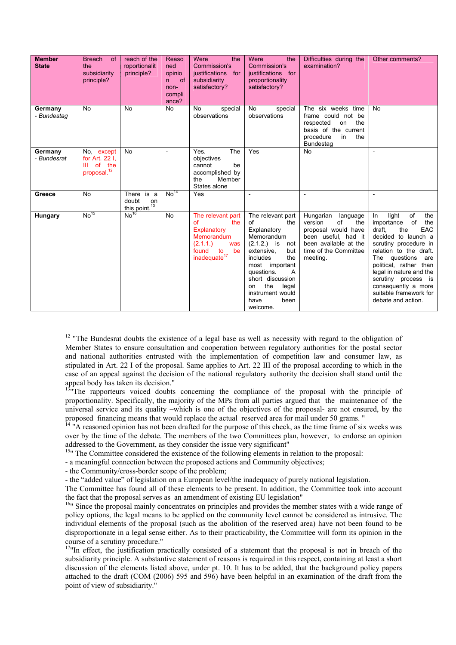| <b>Member</b>          | <b>Breach</b><br>of                                                    | reach of the                                  | Reaso                                                          | Were<br>the                                                                                                                             | Were<br>the                                                                                                                                                                                                                                                           | Difficulties during the                                                                                                                                   | Other comments?                                                                                                                                                                                                                                                                                                                  |
|------------------------|------------------------------------------------------------------------|-----------------------------------------------|----------------------------------------------------------------|-----------------------------------------------------------------------------------------------------------------------------------------|-----------------------------------------------------------------------------------------------------------------------------------------------------------------------------------------------------------------------------------------------------------------------|-----------------------------------------------------------------------------------------------------------------------------------------------------------|----------------------------------------------------------------------------------------------------------------------------------------------------------------------------------------------------------------------------------------------------------------------------------------------------------------------------------|
| <b>State</b>           | the<br>subsidiarity<br>principle?                                      | roportionalit<br>principle?                   | ned<br>opinio<br><sub>of</sub><br>n<br>non-<br>compli<br>ance? | Commission's<br>justifications for<br>subsidiarity<br>satisfactory?                                                                     | Commission's<br>justifications for<br>proportionality<br>satisfactory?                                                                                                                                                                                                | examination?                                                                                                                                              |                                                                                                                                                                                                                                                                                                                                  |
| Germany<br>- Bundestag | <b>No</b>                                                              | <b>No</b>                                     | <b>No</b>                                                      | No<br>special<br>observations                                                                                                           | No<br>special<br>observations                                                                                                                                                                                                                                         | The six weeks time<br>frame could not be<br>respected<br>the<br>on<br>basis of the current<br>procedure<br>the<br>in<br><b>Bundestag</b>                  | <b>No</b>                                                                                                                                                                                                                                                                                                                        |
| Germany<br>- Bundesrat | No. except<br>for Art. 22 I.<br>of the<br>Ш<br>proposal. <sup>12</sup> | <b>No</b>                                     | $\overline{a}$                                                 | The<br>Yes.<br>objectives<br>cannot<br>be<br>accomplished by<br>the<br>Member<br>States alone                                           | Yes                                                                                                                                                                                                                                                                   | <b>No</b>                                                                                                                                                 | $\overline{a}$                                                                                                                                                                                                                                                                                                                   |
| Greece                 | <b>No</b>                                                              | There is a<br>doubt<br>on<br>this point. $13$ | No <sup>14</sup>                                               | Yes                                                                                                                                     |                                                                                                                                                                                                                                                                       |                                                                                                                                                           |                                                                                                                                                                                                                                                                                                                                  |
| Hungary                | No <sup>15</sup>                                                       | No <sup>16</sup>                              | <b>No</b>                                                      | The relevant part<br>the<br>$\alpha$ f<br>Explanatory<br>Memorandum<br>(2.1.1.)<br>was<br>found<br>to<br>be<br>inadequate <sup>17</sup> | The relevant part<br>0f<br>the<br>Explanatory<br>Memorandum<br>$(2.1.2.)$ is<br>not<br>extensive.<br>but<br>the<br>includes<br>most important<br>questions.<br>$\mathsf{A}$<br>short discussion<br>the<br>legal<br>on<br>instrument would<br>have<br>been<br>welcome. | Hungarian<br>language<br>version<br>of<br>the<br>proposal would have<br>been useful, had it<br>been available at the<br>time of the Committee<br>meeting. | of<br>light<br>the<br>In<br>of<br>the<br>importance<br>EAC<br>draft,<br>the<br>decided to launch a<br>scrutiny procedure in<br>relation to the draft.<br>The questions<br>are<br>political, rather than<br>legal in nature and the<br>scrutiny process is<br>consequently a more<br>suitable framework for<br>debate and action. |

<sup>&</sup>lt;sup>12</sup> "The Bundesrat doubts the existence of a legal base as well as necessity with regard to the obligation of Member States to ensure consultation and cooperation between regulatory authorities for the postal sector and national authorities entrusted with the implementation of competition law and consumer law, as stipulated in Art. 22 I of the proposal. Same applies to Art. 22 III of the proposal according to which in the case of an appeal against the decision of the national regulatory authority the decision shall stand until the appeal body has taken its decision."

<sup>15</sup>" The Committee considered the existence of the following elements in relation to the proposal:

- a meaningful connection between the proposed actions and Community objectives;

- the Community/cross-border scope of the problem;

 $\overline{a}$ 

- the "added value" of legislation on a European level/the inadequacy of purely national legislation.

The Committee has found all of these elements to be present. In addition, the Committee took into account the fact that the proposal serves as an amendment of existing EU legislation"<br><sup>16</sup>" Since the proposal mainly concentrates on principles and provides the member states with a wide range of

 $13\text{m}$ The rapporteurs voiced doubts concerning the compliance of the proposal with the principle of proportionality. Specifically, the majority of the MPs from all parties argued that the maintenance of the universal service and its quality –which is one of the objectives of the proposal- are not ensured, by the proposed financing means that would replace the actual reserved area for mail under 50 grams. "

<sup>&</sup>lt;sup>14</sup> "A reasoned opinion has not been drafted for the purpose of this check, as the time frame of six weeks was over by the time of the debate. The members of the two Committees plan, however, to endorse an opinion addressed to the Government, as they consider the issue very significant"

policy options, the legal means to be applied on the community level cannot be considered as intrusive. The individual elements of the proposal (such as the abolition of the reserved area) have not been found to be disproportionate in a legal sense either. As to their practicability, the Committee will form its opinion in the course of a scrutiny procedure." 17"In effect, the justification practically consisted of a statement that the proposal is not in breach of the

subsidiarity principle. A substantive statement of reasons is required in this respect, containing at least a short discussion of the elements listed above, under pt. 10. It has to be added, that the background policy papers attached to the draft (COM (2006) 595 and 596) have been helpful in an examination of the draft from the point of view of subsidiarity."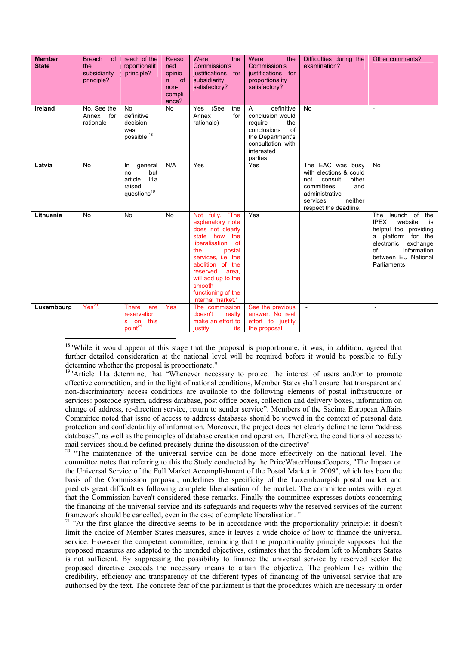| <b>Member</b><br><b>State</b> | <b>Breach</b><br>of<br>the<br>subsidiarity<br>principle? | reach of the<br>roportionalit<br>principle?                                         | Reaso<br>ned<br>opinio<br>of<br>n.<br>non-<br>compli<br>ance? | Were<br>the<br>Commission's<br>justifications for<br>subsidiarity<br>satisfactory?                                                                                                                                                                          | Were<br>the<br>Commission's<br>justifications for<br>proportionality<br>satisfactory?                                                                   | Difficulties during the<br>examination?                                                                                                                      | Other comments?                                                                                                                                                                        |
|-------------------------------|----------------------------------------------------------|-------------------------------------------------------------------------------------|---------------------------------------------------------------|-------------------------------------------------------------------------------------------------------------------------------------------------------------------------------------------------------------------------------------------------------------|---------------------------------------------------------------------------------------------------------------------------------------------------------|--------------------------------------------------------------------------------------------------------------------------------------------------------------|----------------------------------------------------------------------------------------------------------------------------------------------------------------------------------------|
| Ireland                       | No. See the<br>Annex for<br>rationale                    | <b>No</b><br>definitive<br>decision<br>was<br>possible 18                           | <b>No</b>                                                     | (See<br>the<br>Yes<br>Annex<br>for<br>rationale)                                                                                                                                                                                                            | definitive<br>$\mathsf{A}$<br>conclusion would<br>the<br>require<br>of<br>conclusions<br>the Department's<br>consultation with<br>interested<br>parties | <b>No</b>                                                                                                                                                    | $\overline{a}$                                                                                                                                                                         |
| Latvia                        | <b>No</b>                                                | general<br>In.<br>but<br>no,<br>11a<br>article<br>raised<br>$questions19$           | N/A                                                           | Yes                                                                                                                                                                                                                                                         | Yes                                                                                                                                                     | The EAC was busy<br>with elections & could<br>consult<br>other<br>not<br>committees<br>and<br>administrative<br>neither<br>services<br>respect the deadline. | No                                                                                                                                                                                     |
| Lithuania                     | <b>No</b>                                                | <b>No</b>                                                                           | <b>No</b>                                                     | Not fully. "The<br>explanatory note<br>does not clearly<br>state<br>how the<br>liberalisation of<br>the<br>postal<br>services, i.e. the<br>abolition of the<br>reserved<br>area,<br>will add up to the<br>smooth<br>functioning of the<br>internal market." | Yes                                                                                                                                                     |                                                                                                                                                              | launch of the<br>The<br><b>IPEX</b><br>website<br>is<br>helpful tool providing<br>a platform for the<br>electronic exchange<br>information<br>Ωf<br>between EU National<br>Parliaments |
| Luxembourg                    | $Yes20$ .                                                | <b>There</b><br>are<br>reservation<br>this<br><b>on</b><br>s<br>point <sup>21</sup> | <b>Yes</b>                                                    | The commission<br>doesn't<br>really<br>make an effort to<br><b>justify</b><br>its                                                                                                                                                                           | See the previous<br>answer: No real<br>effort to justify<br>the proposal.                                                                               | $\blacksquare$                                                                                                                                               | $\overline{\phantom{a}}$                                                                                                                                                               |

 $18$ "While it would appear at this stage that the proposal is proportionate, it was, in addition, agreed that further detailed consideration at the national level will be required before it would be possible to fully determine whether the proposal is proportionate."

 $\overline{a}$ 

<sup>19</sup>"Article 11a determine, that "Whenever necessary to protect the interest of users and/or to promote effective competition, and in the light of national conditions, Member States shall ensure that transparent and non-discriminatory access conditions are available to the following elements of postal infrastructure or services: postcode system, address database, post office boxes, collection and delivery boxes, information on change of address, re-direction service, return to sender service". Members of the Saeima European Affairs Committee noted that issue of access to address databases should be viewed in the context of personal data protection and confidentiality of information. Moreover, the project does not clearly define the term "address databases", as well as the principles of database creation and operation. Therefore, the conditions of access to mail services should be defined precisely during the discussion of the directive"

<sup>20</sup> "The maintenance of the universal service can be done more effectively on the national level. The committee notes that referring to this the Study conducted by the PriceWaterHouseCoopers, "The Impact on the Universal Service of the Full Market Accomplishment of the Postal Market in 2009", which has been the basis of the Commission proposal, underlines the specificity of the Luxembourgish postal market and predicts great difficulties following complete liberalisation of the market. The committee notes with regret that the Commission haven't considered these remarks. Finally the committee expresses doubts concerning the financing of the universal service and its safeguards and requests why the reserved services of the current framework should be cancelled, even in the case of complete liberalisation. "

<sup>21</sup> "At the first glance the directive seems to be in accordance with the proportionality principle: it doesn't limit the choice of Member States measures, since it leaves a wide choice of how to finance the universal service. However the competent committee, reminding that the proportionality principle supposes that the proposed measures are adapted to the intended objectives, estimates that the freedom left to Members States is not sufficient. By suppressing the possibility to finance the universal service by reserved sector the proposed directive exceeds the necessary means to attain the objective. The problem lies within the credibility, efficiency and transparency of the different types of financing of the universal service that are authorised by the text. The concrete fear of the parliament is that the procedures which are necessary in order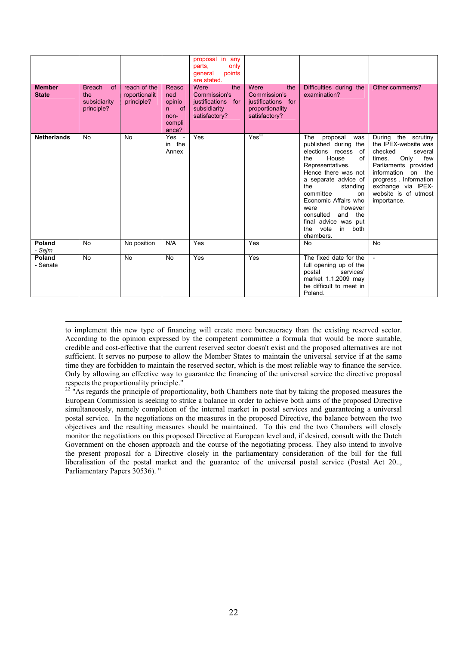|                               |                                                                 |                                             |                                                              | proposal in any<br>parts.<br>only<br>points<br>qeneral<br>are stated.              |                                                                                              |                                                                                                                                                                                                                                                                                                                                                      |                                                                                                                                                                                                                                   |
|-------------------------------|-----------------------------------------------------------------|---------------------------------------------|--------------------------------------------------------------|------------------------------------------------------------------------------------|----------------------------------------------------------------------------------------------|------------------------------------------------------------------------------------------------------------------------------------------------------------------------------------------------------------------------------------------------------------------------------------------------------------------------------------------------------|-----------------------------------------------------------------------------------------------------------------------------------------------------------------------------------------------------------------------------------|
| <b>Member</b><br><b>State</b> | <b>Breach</b><br><b>of</b><br>the<br>subsidiarity<br>principle? | reach of the<br>roportionalit<br>principle? | Reaso<br>ned<br>opinio<br>of<br>n<br>non-<br>compli<br>ance? | Were<br>the<br>Commission's<br>justifications for<br>subsidiarity<br>satisfactory? | Were<br>the<br><b>Commission's</b><br>justifications for<br>proportionality<br>satisfactory? | Difficulties during the<br>examination?                                                                                                                                                                                                                                                                                                              | Other comments?                                                                                                                                                                                                                   |
| <b>Netherlands</b>            | <b>No</b>                                                       | <b>No</b>                                   | Yes -<br>in the<br>Annex                                     | Yes                                                                                | Yes <sup>22</sup>                                                                            | The proposal<br>was<br>published during the<br>elections recess of<br>of<br>the<br>House<br>Representatives.<br>Hence there was not<br>a separate advice of<br>the<br>standing<br>committee<br><sub>on</sub><br>Economic Affairs who<br>however<br>were<br>consulted<br>and<br>the<br>final advice was put<br>vote<br>in<br>both<br>the<br>chambers. | During the scrutiny<br>the IPEX-website was<br>checked<br>several<br>few<br>times.<br>Only<br>Parliaments provided<br>information<br>on the<br>progress. Information<br>exchange via IPEX-<br>website is of utmost<br>importance. |
| Poland<br>- Sejm              | No                                                              | No position                                 | N/A                                                          | Yes                                                                                | Yes                                                                                          | <b>No</b>                                                                                                                                                                                                                                                                                                                                            | No                                                                                                                                                                                                                                |
| Poland<br>- Senate            | <b>No</b>                                                       | <b>No</b>                                   | <b>No</b>                                                    | Yes                                                                                | $\overline{Yes}$                                                                             | The fixed date for the<br>full opening up of the<br>services'<br>postal<br>market 1.1.2009 may<br>be difficult to meet in<br>Poland.                                                                                                                                                                                                                 |                                                                                                                                                                                                                                   |

 to implement this new type of financing will create more bureaucracy than the existing reserved sector. According to the opinion expressed by the competent committee a formula that would be more suitable, credible and cost-effective that the current reserved sector doesn't exist and the proposed alternatives are not sufficient. It serves no purpose to allow the Member States to maintain the universal service if at the same time they are forbidden to maintain the reserved sector, which is the most reliable way to finance the service. Only by allowing an effective way to guarantee the financing of the universal service the directive proposal respects the proportionality principle."

 $^{22}$  "As regards the principle of proportionality, both Chambers note that by taking the proposed measures the European Commission is seeking to strike a balance in order to achieve both aims of the proposed Directive simultaneously, namely completion of the internal market in postal services and guaranteeing a universal postal service. In the negotiations on the measures in the proposed Directive, the balance between the two objectives and the resulting measures should be maintained. To this end the two Chambers will closely monitor the negotiations on this proposed Directive at European level and, if desired, consult with the Dutch Government on the chosen approach and the course of the negotiating process. They also intend to involve the present proposal for a Directive closely in the parliamentary consideration of the bill for the full liberalisation of the postal market and the guarantee of the universal postal service (Postal Act 20.., Parliamentary Papers 30536). "